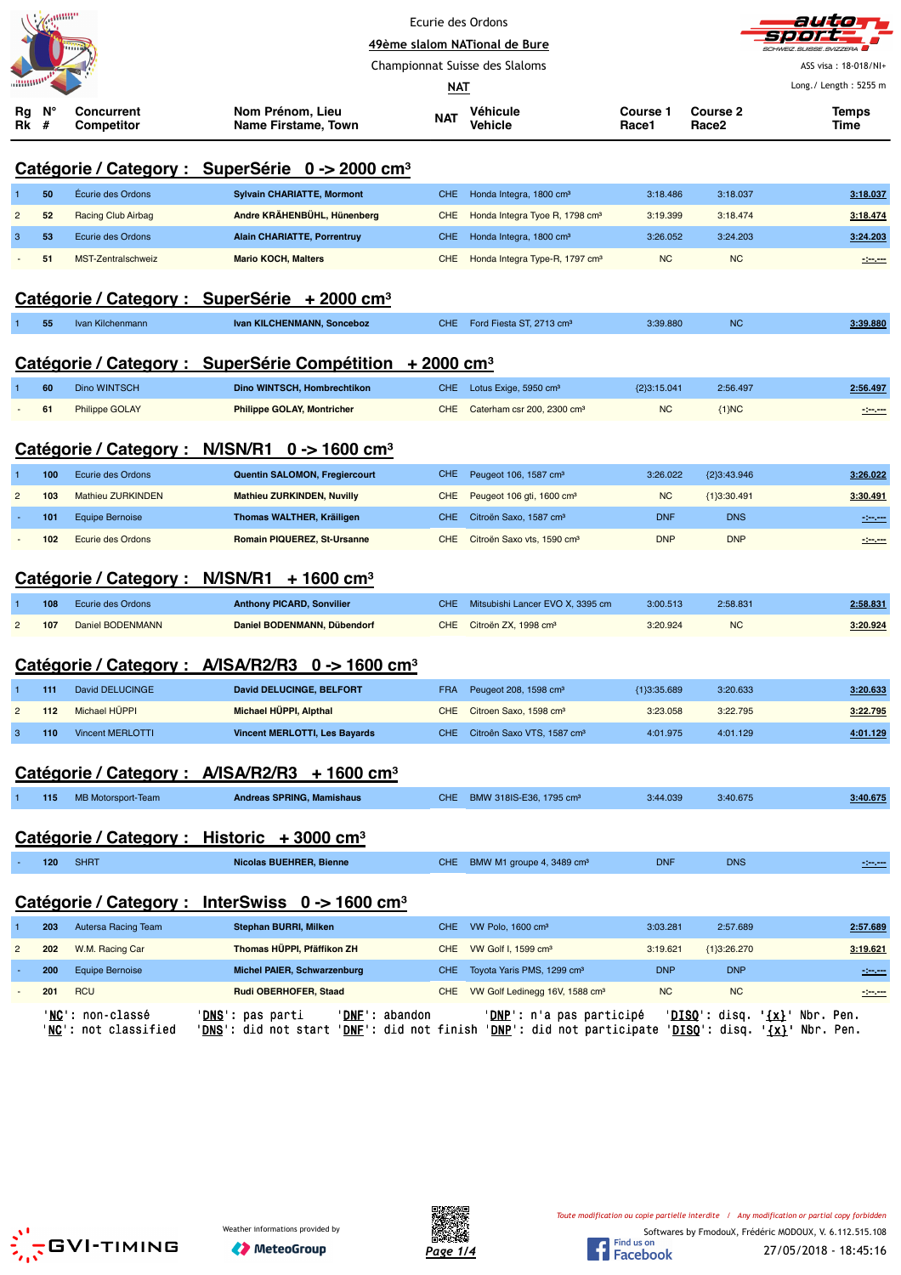|                |         |                                    |                                                                      | Ecurie des Ordons |                                            |                          |                          |                       |
|----------------|---------|------------------------------------|----------------------------------------------------------------------|-------------------|--------------------------------------------|--------------------------|--------------------------|-----------------------|
|                |         |                                    |                                                                      |                   | 49ème slalom NATional de Bure              |                          |                          | CHWEIZ SLISSE         |
|                |         |                                    |                                                                      |                   | Championnat Suisse des Slaloms             |                          |                          | ASS visa: 18-018/NI+  |
|                |         |                                    |                                                                      | NAT               |                                            |                          |                          | Long./ Length: 5255 m |
| нg<br>Rk       | N°<br># | Concurrent<br>Competitor           | Nom Prénom, Lieu<br>Name Firstame, Town                              | <b>NAT</b>        | <b>Véhicule</b><br>Vehicle                 | <b>Course 1</b><br>Race1 | <b>Course 2</b><br>Race2 | <b>Temps</b><br>Time  |
|                |         |                                    | Catégorie / Category : SuperSérie 0 -> 2000 cm <sup>3</sup>          |                   |                                            |                          |                          |                       |
|                | 50      | Écurie des Ordons                  | <b>Sylvain CHARIATTE, Mormont</b>                                    | <b>CHE</b>        | Honda Integra, 1800 cm <sup>3</sup>        | 3:18.486                 | 3:18.037                 | 3:18.037              |
| $\overline{2}$ | 52      | Racing Club Airbag                 | Andre KRÄHENBÜHL, Hünenberg                                          | <b>CHE</b>        | Honda Integra Tyoe R, 1798 cm <sup>3</sup> | 3:19.399                 | 3:18.474                 | 3:18.474              |
| 3              | 53      | Ecurie des Ordons                  | <b>Alain CHARIATTE, Porrentruy</b>                                   | <b>CHE</b>        | Honda Integra, 1800 cm <sup>3</sup>        | 3:26.052                 | 3:24.203                 | 3:24.203              |
|                | 51      | MST-Zentralschweiz                 | <b>Mario KOCH, Malters</b>                                           | <b>CHE</b>        | Honda Integra Type-R, 1797 cm <sup>3</sup> | <b>NC</b>                | <b>NC</b>                | $-2$                  |
|                |         |                                    | Catégorie / Category : SuperSérie + 2000 cm <sup>3</sup>             |                   |                                            |                          |                          |                       |
|                | 55      | Ivan Kilchenmann                   | Ivan KILCHENMANN, Sonceboz                                           | <b>CHE</b>        | Ford Fiesta ST, 2713 cm <sup>3</sup>       | 3:39.880                 | <b>NC</b>                | 3:39.880              |
|                |         |                                    | Catégorie / Category : SuperSérie Compétition + 2000 cm <sup>3</sup> |                   |                                            |                          |                          |                       |
|                | 60      | Dino WINTSCH                       | Dino WINTSCH, Hombrechtikon                                          | <b>CHE</b>        | Lotus Exige, 5950 cm <sup>3</sup>          | {2}3:15.041              | 2:56.497                 | 2:56.497              |
|                | 61      | <b>Philippe GOLAY</b>              | <b>Philippe GOLAY, Montricher</b>                                    | <b>CHE</b>        | Caterham csr 200, 2300 cm <sup>3</sup>     | <b>NC</b>                | ${1}NC$                  | -1-1-                 |
|                |         |                                    | Catégorie / Category : N/ISN/R1 0 -> 1600 cm <sup>3</sup>            |                   |                                            |                          |                          |                       |
| 1              | 100     | Ecurie des Ordons                  | Quentin SALOMON, Fregiercourt                                        | <b>CHE</b>        | Peugeot 106, 1587 cm <sup>3</sup>          | 3:26.022                 | ${2}3:43.946$            | 3:26.022              |
| $\overline{2}$ | 103     | <b>Mathieu ZURKINDEN</b>           | <b>Mathieu ZURKINDEN, Nuvilly</b>                                    | <b>CHE</b>        | Peugeot 106 gti, 1600 cm <sup>3</sup>      | <b>NC</b>                | ${1}3:30.491$            | 3:30.491              |
|                | 101     | <b>Equipe Bernoise</b>             | Thomas WALTHER, Kräiligen                                            | <b>CHE</b>        | Citroën Saxo, 1587 cm <sup>3</sup>         | <b>DNF</b>               | <b>DNS</b>               | سيبين                 |
|                | 102     | <b>Ecurie des Ordons</b>           | Romain PIQUEREZ, St-Ursanne                                          | <b>CHE</b>        | Citroën Saxo vts, 1590 cm <sup>3</sup>     | <b>DNP</b>               | <b>DNP</b>               | -----                 |
|                |         |                                    | Catégorie / Category : N/ISN/R1 + 1600 cm <sup>3</sup>               |                   |                                            |                          |                          |                       |
|                | 108     | Ecurie des Ordons                  | <b>Anthony PICARD, Sonvilier</b>                                     | <b>CHE</b>        | Mitsubishi Lancer EVO X, 3395 cm           | 3:00.513                 | 2:58.831                 | 2:58.831              |
| $\overline{2}$ | 107     | <b>Daniel BODENMANN</b>            | Daniel BODENMANN, Dübendorf                                          | <b>CHE</b>        | Citroën ZX, 1998 cm <sup>3</sup>           | 3:20.924                 | <b>NC</b>                | 3:20.924              |
|                |         |                                    | Catégorie / Category : A/ISA/R2/R3 0 -> 1600 cm <sup>3</sup>         |                   |                                            |                          |                          |                       |
| 1              | 111     | David DELUCINGE                    | David DELUCINGE, BELFORT                                             | <b>FRA</b>        | Peugeot 208, 1598 cm <sup>3</sup>          | ${1}3:35.689$            | 3:20.633                 | 3:20.633              |
| $\overline{c}$ | 112     | Michael HÜPPI                      | Michael HÜPPI, Alpthal                                               | <b>CHE</b>        | Citroen Saxo, 1598 cm <sup>3</sup>         | 3:23.058                 | 3:22.795                 | 3:22.795              |
| $\mathbf{3}$   | 110     | <b>Vincent MERLOTTI</b>            | <b>Vincent MERLOTTI, Les Bayards</b>                                 | CHE.              | Citroên Saxo VTS, 1587 cm <sup>3</sup>     | 4:01.975                 | 4:01.129                 | 4:01.129              |
|                |         | Catégorie / Category : A/ISA/R2/R3 | $+1600$ cm <sup>3</sup>                                              |                   |                                            |                          |                          |                       |
|                | 115     | MB Motorsport-Team                 | <b>Andreas SPRING, Mamishaus</b>                                     |                   | CHE BMW 318IS-E36, 1795 cm <sup>3</sup>    | 3:44.039                 | 3:40.675                 | 3:40.675              |

# **Catégorie / Category : Historic + 3000 cm³**

| $\mathcal{L}^{\text{max}}_{\text{max}}$ and $\mathcal{L}^{\text{max}}_{\text{max}}$ and $\mathcal{L}^{\text{max}}_{\text{max}}$ | <b>SHRT</b><br>Nicolas BUEHRER, Bienne<br>BMW M1 groupe 4, 3489 cm <sup>3</sup><br><b>DNS</b><br><b>DNF</b><br>CHE.<br>120 |
|---------------------------------------------------------------------------------------------------------------------------------|----------------------------------------------------------------------------------------------------------------------------|
|---------------------------------------------------------------------------------------------------------------------------------|----------------------------------------------------------------------------------------------------------------------------|

## **Catégorie / Category : InterSwiss 0 -> 1600 cm³**

|                | 203 | Autersa Racing Team                              | Stephan BURRI, Milken                               |                                                 | CHE VW Polo, 1600 cm <sup>3</sup>                               | 3:03.281   | 2:57.689                                  | 2:57.689                                      |
|----------------|-----|--------------------------------------------------|-----------------------------------------------------|-------------------------------------------------|-----------------------------------------------------------------|------------|-------------------------------------------|-----------------------------------------------|
| $\overline{2}$ | 202 | W.M. Racing Car                                  | Thomas HÜPPI, Pfäffikon ZH                          | CHE                                             | VW Golf I, 1599 cm <sup>3</sup>                                 | 3:19.621   | ${1}3:26.270$                             | 3:19.621                                      |
|                | 200 | <b>Equipe Bernoise</b>                           | Michel PAIER, Schwarzenburg                         |                                                 | CHE Toyota Yaris PMS, 1299 cm <sup>3</sup>                      | <b>DNP</b> | <b>DNP</b>                                | $-200$                                        |
|                | 201 | <b>RCU</b>                                       | Rudi OBERHOFER, Staad                               |                                                 | CHE VW Golf Ledinegg 16V, 1588 cm <sup>3</sup>                  | <b>NC</b>  | N <sub>C</sub>                            | $-2 - 2 - 1$                                  |
|                |     | ' <b>NC':</b> non-classé<br>'NC': not classified | ' <b>DNS</b> ': pas parti<br>'DNS': did not start ' | 'DNF': abandon<br>' <b>DNF':</b> did not finish | ' <b>DNP</b> ': n'a pas participé<br>'DNP': did not participate |            | $'DISO':$ disq.<br>' <b>DISQ</b> ': disq. | $\{x\}$ .<br>Nbr. Pen.<br>$\{x\}$ ' Nbr. Pen. |





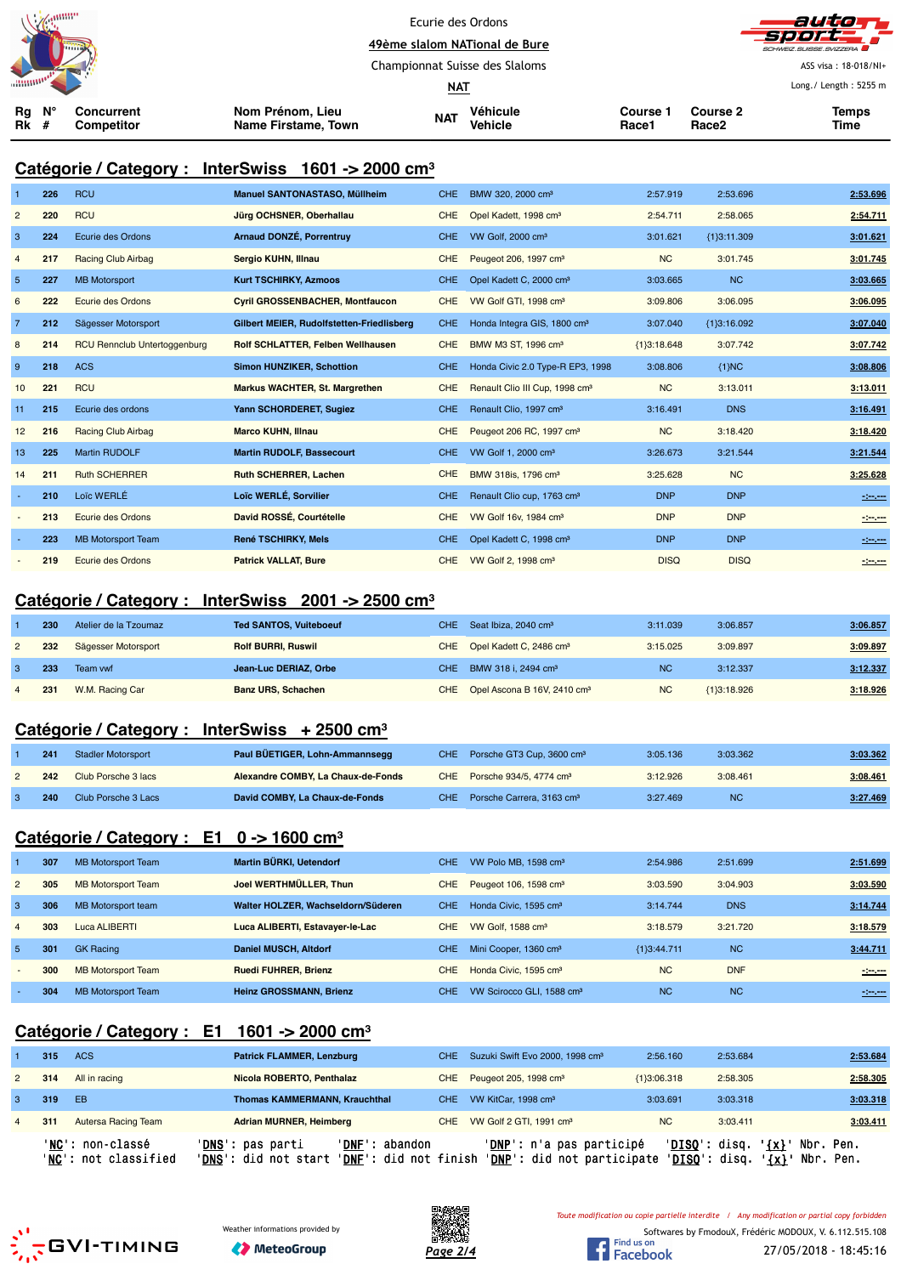| <b>NEW SHIPPING</b> |  | umm                      |                                         | Ecurie des Ordons<br>49ème slalom NATional de Bure |                            |                   |                   | autom<br>_Sport___<br>SCHWEIZ.SUISSE.SVIZZERA |
|---------------------|--|--------------------------|-----------------------------------------|----------------------------------------------------|----------------------------|-------------------|-------------------|-----------------------------------------------|
|                     |  |                          |                                         | Championnat Suisse des Slaloms                     |                            |                   |                   | ASS visa: 18-018/NI+                          |
|                     |  |                          |                                         | <u>NAT</u>                                         |                            |                   |                   | Long./ Length: 5255 m                         |
| Ν°<br>Rg<br>Rk      |  | Concurrent<br>Competitor | Nom Prénom, Lieu<br>Name Firstame, Town | <b>NAT</b>                                         | Véhicule<br><b>Vehicle</b> | Course 1<br>Race1 | Course 2<br>Race2 | <b>Temps</b><br><b>Time</b>                   |

#### **Catégorie / Category : InterSwiss 1601 -> 2000 cm³**

| $\mathbf{1}$   | 226 | <b>RCU</b>                          | <b>Manuel SANTONASTASO, Müllheim</b>      | <b>CHE</b> | BMW 320, 2000 cm <sup>3</sup>              | 2:57.919      | 2:53.696      | 2:53.696 |
|----------------|-----|-------------------------------------|-------------------------------------------|------------|--------------------------------------------|---------------|---------------|----------|
| $\overline{2}$ | 220 | <b>RCU</b>                          | Jürg OCHSNER, Oberhallau                  | <b>CHE</b> | Opel Kadett, 1998 cm <sup>3</sup>          | 2:54.711      | 2:58.065      | 2:54.711 |
| 3              | 224 | Ecurie des Ordons                   | Arnaud DONZÉ, Porrentruy                  | CHE.       | VW Golf, 2000 cm <sup>3</sup>              | 3:01.621      | {1}3:11.309   | 3:01.621 |
| $\overline{4}$ | 217 | <b>Racing Club Airbag</b>           | Sergio KUHN, Illnau                       | <b>CHE</b> | Peugeot 206, 1997 cm <sup>3</sup>          | <b>NC</b>     | 3:01.745      | 3:01.745 |
| $5\phantom{1}$ | 227 | <b>MB Motorsport</b>                | <b>Kurt TSCHIRKY, Azmoos</b>              | <b>CHE</b> | Opel Kadett C, 2000 cm <sup>3</sup>        | 3:03.665      | <b>NC</b>     | 3:03.665 |
| 6              | 222 | <b>Ecurie des Ordons</b>            | <b>Cyril GROSSENBACHER, Montfaucon</b>    | <b>CHE</b> | VW Golf GTI, 1998 cm <sup>3</sup>          | 3:09.806      | 3:06.095      | 3:06.095 |
| $\overline{7}$ | 212 | Sägesser Motorsport                 | Gilbert MEIER, Rudolfstetten-Friedlisberg | <b>CHE</b> | Honda Integra GIS, 1800 cm <sup>3</sup>    | 3:07.040      | ${1}3:16.092$ | 3:07.040 |
| 8              | 214 | <b>RCU Rennclub Untertoggenburg</b> | Rolf SCHLATTER, Felben Wellhausen         | <b>CHE</b> | BMW M3 ST, 1996 cm <sup>3</sup>            | ${1}3:18.648$ | 3:07.742      | 3:07.742 |
| 9              | 218 | <b>ACS</b>                          | <b>Simon HUNZIKER, Schottion</b>          | <b>CHE</b> | Honda Civic 2.0 Type-R EP3, 1998           | 3:08.806      | ${1}MC$       | 3:08.806 |
| 10             | 221 | <b>RCU</b>                          | Markus WACHTER, St. Margrethen            | <b>CHE</b> | Renault Clio III Cup, 1998 cm <sup>3</sup> | <b>NC</b>     | 3:13.011      | 3:13.011 |
| 11             | 215 | Ecurie des ordons                   | Yann SCHORDERET, Sugiez                   | <b>CHE</b> | Renault Clio, 1997 cm <sup>3</sup>         | 3:16.491      | <b>DNS</b>    | 3:16.491 |
| 12             | 216 | <b>Racing Club Airbag</b>           | <b>Marco KUHN, Illnau</b>                 | <b>CHE</b> | Peugeot 206 RC, 1997 cm <sup>3</sup>       | <b>NC</b>     | 3:18.420      | 3:18.420 |
| 13             | 225 | <b>Martin RUDOLF</b>                | <b>Martin RUDOLF, Bassecourt</b>          | CHE.       | VW Golf 1, 2000 cm <sup>3</sup>            | 3:26.673      | 3:21.544      | 3:21.544 |
| 14             | 211 | <b>Ruth SCHERRER</b>                | <b>Ruth SCHERRER, Lachen</b>              | <b>CHE</b> | BMW 318is, 1796 cm <sup>3</sup>            | 3:25.628      | <b>NC</b>     | 3:25.628 |
|                | 210 | Loïc WERLÉ                          | Loïc WERLÉ, Sorvilier                     | <b>CHE</b> | Renault Clio cup, 1763 cm <sup>3</sup>     | <b>DNP</b>    | <b>DNP</b>    | $-200$   |
|                | 213 | Ecurie des Ordons                   | David ROSSÉ, Courtételle                  | <b>CHE</b> | VW Golf 16v, 1984 cm <sup>3</sup>          | <b>DNP</b>    | <b>DNP</b>    | 120,000  |
|                | 223 | <b>MB Motorsport Team</b>           | <b>René TSCHIRKY, Mels</b>                | <b>CHE</b> | Opel Kadett C, 1998 cm <sup>3</sup>        | <b>DNP</b>    | <b>DNP</b>    | 121.00   |
|                | 219 | Ecurie des Ordons                   | <b>Patrick VALLAT, Bure</b>               | <b>CHE</b> | VW Golf 2, 1998 cm <sup>3</sup>            | <b>DISQ</b>   | <b>DISQ</b>   | $-200$   |

#### **Catégorie / Category : InterSwiss 2001 -> 2500 cm³**

|                | 230 | Atelier de la Tzoumaz | <b>Ted SANTOS, Vuiteboeuf</b> | CHE Seat Ibiza, 2040 cm <sup>3</sup>        | 3:11.039  | 3:06.857      | 3:06.857 |
|----------------|-----|-----------------------|-------------------------------|---------------------------------------------|-----------|---------------|----------|
|                | 232 | Sägesser Motorsport   | <b>Rolf BURRI, Ruswil</b>     | CHE Opel Kadett C, 2486 cm <sup>3</sup>     | 3:15.025  | 3:09.897      | 3:09.897 |
|                | 233 | Team vwf              | Jean-Luc DERIAZ, Orbe         | CHE BMW 318 i, 2494 cm <sup>3</sup>         | <b>NC</b> | 3:12.337      | 3:12.337 |
| $\overline{4}$ | 231 | W.M. Racing Car       | <b>Banz URS, Schachen</b>     | CHE Opel Ascona B 16V, 2410 cm <sup>3</sup> | <b>NC</b> | ${1}3:18.926$ | 3:18.926 |

#### **Catégorie / Category : InterSwiss + 2500 cm³**

| 241 | <b>Stadler Motorsport</b> | Paul BUETIGER, Lohn-Ammannsegg     | CHE Porsche GT3 Cup, 3600 cm <sup>3</sup> | 3:05.136 | 3:03.362  | 3:03.362 |
|-----|---------------------------|------------------------------------|-------------------------------------------|----------|-----------|----------|
| 242 | Club Porsche 3 lacs       | Alexandre COMBY, La Chaux-de-Fonds | CHE Porsche 934/5, 4774 cm <sup>3</sup>   | 3:12.926 | 3:08.461  | 3:08.461 |
| 240 | Club Porsche 3 Lacs       | David COMBY, La Chaux-de-Fonds     | CHE Porsche Carrera, 3163 cm <sup>3</sup> | 3:27.469 | <b>NC</b> | 3:27.469 |

# **Catégorie / Category : E1 0 -> 1600 cm³**

|                | 307 | <b>MB Motorsport Team</b> | Martin BÜRKI, Uetendorf            | CHE.       | VW Polo MB, 1598 cm <sup>3</sup>      | 2:54.986      | 2:51.699   | 2:51.699 |
|----------------|-----|---------------------------|------------------------------------|------------|---------------------------------------|---------------|------------|----------|
| $\overline{2}$ | 305 | <b>MB Motorsport Team</b> | Joel WERTHMÜLLER, Thun             | CHE.       | Peugeot 106, 1598 cm <sup>3</sup>     | 3:03.590      | 3:04.903   | 3:03.590 |
| -3             | 306 | MB Motorsport team        | Walter HOLZER, Wachseldorn/Süderen | CHE.       | Honda Civic, 1595 cm <sup>3</sup>     | 3:14.744      | <b>DNS</b> | 3:14.744 |
| $\overline{4}$ | 303 | Luca ALIBERTI             | Luca ALIBERTI, Estavayer-le-Lac    | CHE.       | VW Golf, 1588 cm <sup>3</sup>         | 3:18.579      | 3:21.720   | 3:18.579 |
| -5             | 301 | <b>GK Racing</b>          | <b>Daniel MUSCH, Altdorf</b>       | CHE.       | Mini Cooper, 1360 cm <sup>3</sup>     | ${1}3:44.711$ | <b>NC</b>  | 3:44.711 |
|                | 300 | <b>MB Motorsport Team</b> | <b>Ruedi FUHRER, Brienz</b>        | <b>CHE</b> | Honda Civic. 1595 cm <sup>3</sup>     | <b>NC</b>     | <b>DNF</b> | $-200$   |
|                | 304 | <b>MB Motorsport Team</b> | <b>Heinz GROSSMANN, Brienz</b>     | CHE.       | VW Scirocco GLI, 1588 cm <sup>3</sup> | <b>NC</b>     | <b>NC</b>  | $-200$   |

## **Catégorie / Category : E1 1601 -> 2000 cm³**

|                | 315 | <b>ACS</b>                               | <b>Patrick FLAMMER, Lenzburg</b>                                                                |       | CHE Suzuki Swift Evo 2000, 1998 cm <sup>3</sup>                 | 2:56.160      | 2:53.684                       | 2:53.684                                         |
|----------------|-----|------------------------------------------|-------------------------------------------------------------------------------------------------|-------|-----------------------------------------------------------------|---------------|--------------------------------|--------------------------------------------------|
| $\overline{2}$ | 314 | All in racing                            | Nicola ROBERTO, Penthalaz                                                                       |       | CHE Peugeot 205, 1998 cm <sup>3</sup>                           | ${1}3:06.318$ | 2:58.305                       | 2:58.305                                         |
| 3.             | 319 | EB                                       | <b>Thomas KAMMERMANN, Krauchthal</b>                                                            | CHE - | VW KitCar, 1998 cm <sup>3</sup>                                 | 3:03.691      | 3:03.318                       | 3:03.318                                         |
| $\overline{4}$ | 311 | Autersa Racing Team                      | <b>Adrian MURNER, Heimberg</b>                                                                  |       | CHE VW Golf 2 GTI, 1991 cm <sup>3</sup>                         | <b>NC</b>     | 3:03.411                       | 3:03.411                                         |
|                |     | 'NC': non-classé<br>'NC': not classified | 'DNF':<br>' <b>DNS</b> ': pas parti<br>abandon<br>'DNS': did not start<br>'DNF': did not finish |       | ' <b>DNP</b> ': n'a pas participé<br>'DNP': did not participate |               | 'DISQ': disq.<br>'DISO': disq. | $\{x\}$<br>Nbr. Pen.<br>$'$ {x} $'$<br>Nbr. Pen. |





*Toute modification ou copie partielle interdite / Any modification or partial copy forbidden*

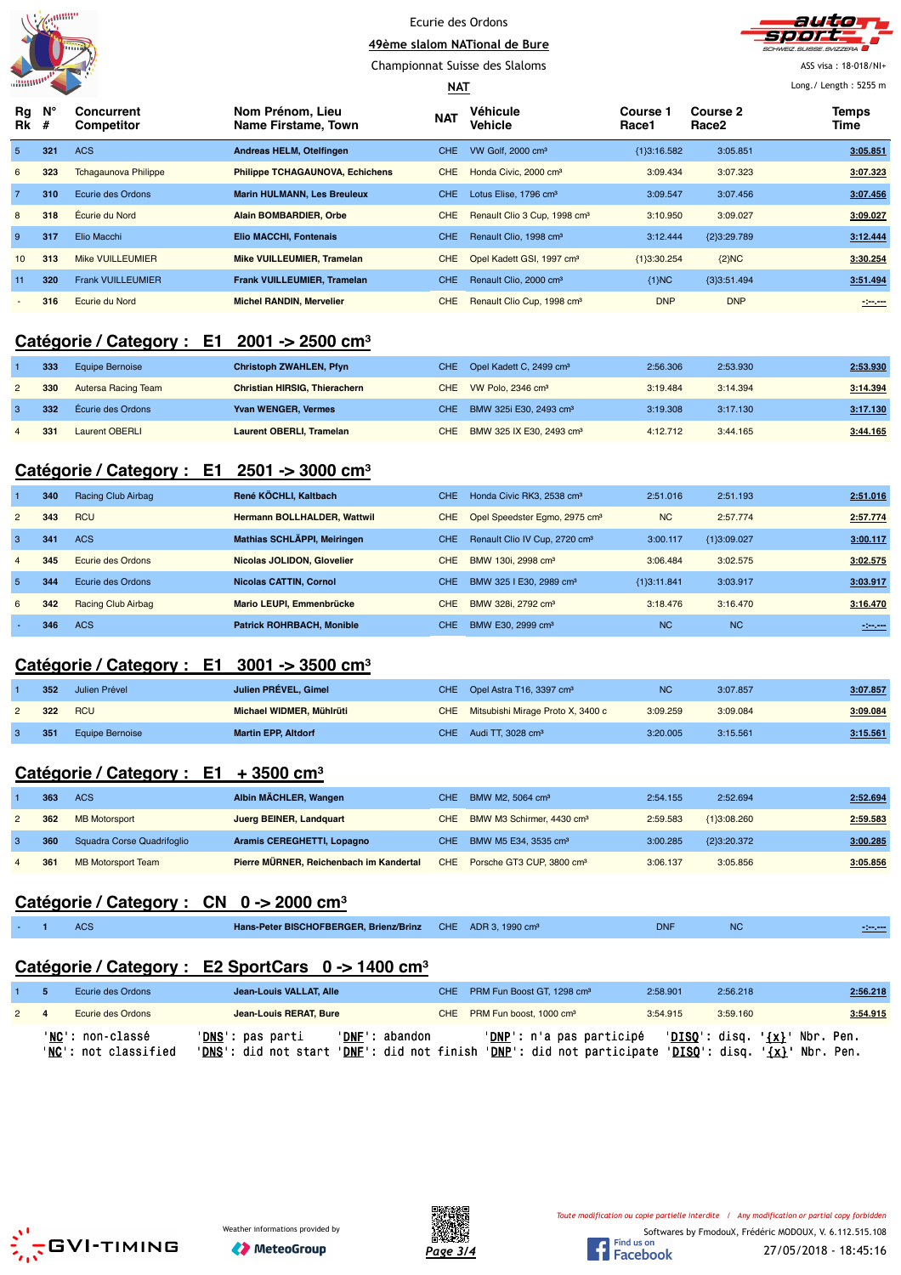





ASS visa : 18-018/NI+ Long./ Length : 5255 m

| """""""                     |     |                                        |                                         | $MAT$      |                                          |                          |                   | Long./ Length: 5255 m |
|-----------------------------|-----|----------------------------------------|-----------------------------------------|------------|------------------------------------------|--------------------------|-------------------|-----------------------|
| $Ra$ $N^{\circ}$<br>$Rk \#$ |     | <b>Concurrent</b><br><b>Competitor</b> | Nom Prénom. Lieu<br>Name Firstame, Town | <b>NAT</b> | Véhicule<br><b>Vehicle</b>               | <b>Course 1</b><br>Race1 | Course 2<br>Race2 | Temps<br>Time         |
| 5                           | 321 | <b>ACS</b>                             | Andreas HELM, Otelfingen                | CHE.       | VW Golf, 2000 cm <sup>3</sup>            | ${1}3:16.582$            | 3:05.851          | 3:05.851              |
| 6                           | 323 | <b>Tchagaunova Philippe</b>            | <b>Philippe TCHAGAUNOVA, Echichens</b>  | CHE.       | Honda Civic, 2000 cm <sup>3</sup>        | 3:09.434                 | 3:07.323          | 3:07.323              |
| $\overline{7}$              | 310 | Ecurie des Ordons                      | <b>Marin HULMANN, Les Breuleux</b>      | CHE.       | Lotus Elise, 1796 cm <sup>3</sup>        | 3:09.547                 | 3:07.456          | 3:07.456              |
| 8                           | 318 | Écurie du Nord                         | <b>Alain BOMBARDIER, Orbe</b>           | CHE.       | Renault Clio 3 Cup, 1998 cm <sup>3</sup> | 3:10.950                 | 3:09.027          | 3:09.027              |
| 9                           | 317 | Elio Macchi                            | Elio MACCHI, Fontenais                  | CHE.       | Renault Clio, 1998 cm <sup>3</sup>       | 3:12.444                 | {2}3:29.789       | 3:12.444              |
| 10 <sup>1</sup>             | 313 | <b>Mike VUILLEUMIER</b>                | <b>Mike VUILLEUMIER, Tramelan</b>       | CHE.       | Opel Kadett GSI, 1997 cm <sup>3</sup>    | ${1}3:30.254$            | ${2}NC$           | 3:30.254              |
| 11                          | 320 | <b>Frank VUILLEUMIER</b>               | <b>Frank VUILLEUMIER, Tramelan</b>      | CHE.       | Renault Clio, 2000 cm <sup>3</sup>       | ${1}MC$                  | ${3}3:51.494$     | 3:51.494              |
| $\overline{\phantom{a}}$    | 316 | Ecurie du Nord                         | <b>Michel RANDIN, Mervelier</b>         | CHE.       | Renault Clio Cup, 1998 cm <sup>3</sup>   | <b>DNP</b>               | <b>DNP</b>        | $-200 - 200$          |

## **Catégorie / Category : E1 2001 -> 2500 cm³**

| 333 | Equipe Bernoise     | <b>Christoph ZWAHLEN, Pfyn</b>  |      | CHE Opel Kadett C, 2499 cm <sup>3</sup> | 2:56.306 | 2:53.930 | 2:53.930 |
|-----|---------------------|---------------------------------|------|-----------------------------------------|----------|----------|----------|
| 330 | Autersa Racing Team | Christian HIRSIG, Thierachern   |      | CHE VW Polo, 2346 cm <sup>3</sup>       | 3:19.484 | 3:14.394 | 3:14.394 |
| 332 | Écurie des Ordons   | <b>Yvan WENGER, Vermes</b>      |      | CHE BMW 325i E30, 2493 cm <sup>3</sup>  | 3:19.308 | 3:17.130 | 3:17.130 |
| 331 | Laurent OBERLI      | <b>Laurent OBERLI, Tramelan</b> | CHE. | BMW 325 IX E30, 2493 cm <sup>3</sup>    | 4:12.712 | 3:44.165 | 3:44.165 |

## **Catégorie / Category : E1 2501 -> 3000 cm³**

|                | 340 | Racing Club Airbag | René KÖCHLI, Kaltbach              | CHE.       | Honda Civic RK3, 2538 cm <sup>3</sup>     | 2:51.016      | 2:51.193      | 2:51.016          |
|----------------|-----|--------------------|------------------------------------|------------|-------------------------------------------|---------------|---------------|-------------------|
| $\overline{2}$ | 343 | <b>RCU</b>         | <b>Hermann BOLLHALDER, Wattwil</b> | CHE.       | Opel Speedster Egmo, 2975 cm <sup>3</sup> | <b>NC</b>     | 2:57.774      | 2:57.774          |
| -3             | 341 | <b>ACS</b>         | Mathias SCHLÄPPI, Meiringen        | CHE.       | Renault Clio IV Cup, 2720 cm <sup>3</sup> | 3:00.117      | ${1}3:09.027$ | 3:00.117          |
| $\overline{4}$ | 345 | Ecurie des Ordons  | Nicolas JOLIDON, Glovelier         | CHE.       | BMW 130i, 2998 cm <sup>3</sup>            | 3:06.484      | 3:02.575      | 3:02.575          |
| -5             | 344 | Ecurie des Ordons  | Nicolas CATTIN, Cornol             | <b>CHE</b> | BMW 325 I E30, 2989 cm <sup>3</sup>       | ${13:11.841}$ | 3:03.917      | 3:03.917          |
| 6              | 342 | Racing Club Airbag | Mario LEUPI, Emmenbrücke           | CHE.       | BMW 328i, 2792 cm <sup>3</sup>            | 3:18.476      | 3:16.470      | 3:16.470          |
|                | 346 | <b>ACS</b>         | <b>Patrick ROHRBACH, Monible</b>   | CHE.       | BMW E30, 2999 cm <sup>3</sup>             | <b>NC</b>     | <b>NC</b>     | <b>STATISTICS</b> |

## **Catégorie / Category : E1 3001 -> 3500 cm³**

|                | 352 | Julien Prével   | Julien PRÉVEL, Gimel       | CHE Opel Astra T16, 3397 cm <sup>3</sup> | <b>NC</b> | 3:07.857 | 3:07.857 |
|----------------|-----|-----------------|----------------------------|------------------------------------------|-----------|----------|----------|
| $\overline{2}$ | 322 | RCU             | Michael WIDMER, Mühlrüti   | CHE Mitsubishi Mirage Proto X, 3400 c    | 3:09.259  | 3:09.084 | 3:09.084 |
| $\mathbf{3}$   | 351 | Equipe Bernoise | <b>Martin EPP, Altdorf</b> | CHE Audi TT, 3028 cm <sup>3</sup>        | 3:20.005  | 3:15.561 | 3:15.561 |

## **Catégorie / Category : E1 + 3500 cm³**

|                | 363 | ACS                        | Albin MÄCHLER, Wangen                   | CHE BMW M2, 5064 cm <sup>3</sup>          | 2:54.155 | 2:52.694      | 2:52.694 |
|----------------|-----|----------------------------|-----------------------------------------|-------------------------------------------|----------|---------------|----------|
| $\overline{2}$ | 362 | <b>MB Motorsport</b>       | Juerg BEINER, Landquart                 | CHE BMW M3 Schirmer, 4430 cm <sup>3</sup> | 2:59.583 | ${1}3:08.260$ | 2:59.583 |
|                | 360 | Squadra Corse Quadrifoglio | Aramis CEREGHETTI, Lopagno              | CHE BMW M5 E34, 3535 cm <sup>3</sup>      | 3:00.285 | ${2}3:20.372$ | 3:00.285 |
| $\overline{4}$ | 361 | <b>MB Motorsport Team</b>  | Pierre MÜRNER, Reichenbach im Kandertal | CHE Porsche GT3 CUP, 3800 cm <sup>3</sup> | 3:06.137 | 3:05.856      | 3:05.856 |

## **Catégorie / Category : CN 0 -> 2000 cm³**

|  | $\sim$<br>AUC | Hans-Peter BISCHOFBERGER, Brienz/Brinz CHE ADR 3, 1990 cm <sup>3</sup> |  | <b>DNF</b> | NU. |  |
|--|---------------|------------------------------------------------------------------------|--|------------|-----|--|
|  |               |                                                                        |  |            |     |  |

## **Catégorie / Category : E2 SportCars 0 -> 1400 cm³**

|             | Ecurie des Ordons                        | Jean-Louis VALLAT, Alle |                |     | CHE PRM Fun Boost GT, 1298 cm <sup>3</sup>                                                                                                                                        | 2:58.901 | 2:56.218 | 2:56.218 |
|-------------|------------------------------------------|-------------------------|----------------|-----|-----------------------------------------------------------------------------------------------------------------------------------------------------------------------------------|----------|----------|----------|
| $2 \quad 4$ | Ecurie des Ordons                        | Jean-Louis RERAT, Bure  |                | CHE | PRM Fun boost, 1000 cm <sup>3</sup>                                                                                                                                               | 3:54.915 | 3:59.160 | 3:54.915 |
|             | 'NC': non-classé<br>'NC': not classified | 'DNS': pas parti        | 'DNF': abandon |     | $'DNP': n'a pas participé \quad 'DISQ': disq. \quad {x}'} \quad Nbr. Pen.$<br>'DNS': did not start 'DNF': did not finish 'DNP': did not participate 'DISQ': disq. '{x}' Nbr. Pen. |          |          |          |





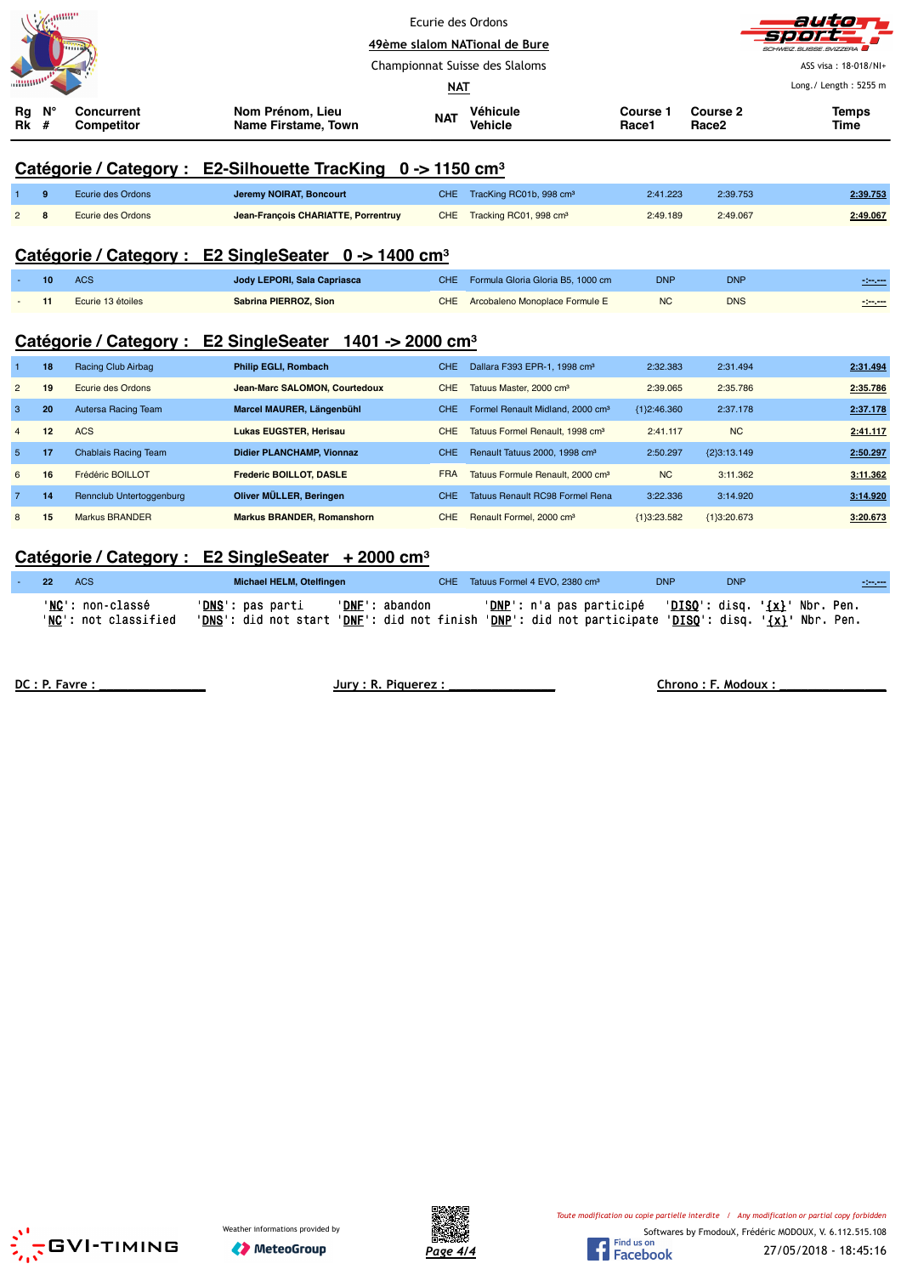|                 | annin           |                                        | Ecurie des Ordons<br>49ème slalom NATional de Bure<br>Championnat Suisse des Slaloms |            | auta<br>SUBSE SVIZZERA<br>ASS visa: 18-018/NI+<br>Long./ Length: 5255 m |                          |                               |                      |
|-----------------|-----------------|----------------------------------------|--------------------------------------------------------------------------------------|------------|-------------------------------------------------------------------------|--------------------------|-------------------------------|----------------------|
| Rg<br><b>Rk</b> | Ν°<br>#         | <b>Concurrent</b><br><b>Competitor</b> | Nom Prénom, Lieu<br>Name Firstame, Town                                              | <b>NAT</b> | <b>Véhicule</b><br>Vehicle                                              | <b>Course 1</b><br>Race1 | Course 2<br>Race <sub>2</sub> | <b>Temps</b><br>Time |
|                 |                 | Catégorie / Category :                 | E2-Silhouette TracKing $0 \rightarrow 1150 \text{ cm}^3$                             |            |                                                                         |                          |                               |                      |
|                 | 9               | Ecurie des Ordons                      | Jeremy NOIRAT, Boncourt                                                              | CHE.       | TracKing RC01b, 998 cm <sup>3</sup>                                     | 2:41.223                 | 2:39.753                      | 2:39.753             |
| $\overline{2}$  | 8               | Ecurie des Ordons                      | Jean-François CHARIATTE, Porrentruy                                                  | CHE.       | Tracking RC01, 998 cm <sup>3</sup>                                      | 2:49.189                 | 2:49.067                      | 2:49.067             |
|                 |                 | Catégorie / Category :                 | <b>E2 SingleSeater</b><br>$0 \rightarrow 1400 \text{ cm}^3$                          |            |                                                                         |                          |                               |                      |
|                 | 10              | <b>ACS</b>                             | Jody LEPORI, Sala Capriasca                                                          | CHE.       | Formula Gloria Gloria B5, 1000 cm                                       | <b>DNP</b>               | <b>DNP</b>                    | $-200$               |
|                 | 11              | Ecurie 13 étoiles                      | Sabrina PIERROZ, Sion                                                                | CHE.       | Arcobaleno Monoplace Formule E                                          | <b>NC</b>                | <b>DNS</b>                    | $ -$                 |
|                 |                 | Catégorie / Category :                 | <b>E2 SingleSeater</b><br>1401 -> 2000 cm <sup>3</sup>                               |            |                                                                         |                          |                               |                      |
| -1              | 18              | Racing Club Airbag                     | <b>Philip EGLI, Rombach</b>                                                          | <b>CHE</b> | Dallara F393 EPR-1, 1998 cm <sup>3</sup>                                | 2:32.383                 | 2:31.494                      | 2:31.494             |
| $\overline{2}$  | 19              | Ecurie des Ordons                      | Jean-Marc SALOMON, Courtedoux                                                        | <b>CHE</b> | Tatuus Master, 2000 cm <sup>3</sup>                                     | 2:39.065                 | 2:35.786                      | 2:35.786             |
| 3               | 20              | Autersa Racing Team                    | Marcel MAURER, Längenbühl                                                            | CHE.       | Formel Renault Midland, 2000 cm <sup>3</sup>                            | ${1}2:46.360$            | 2:37.178                      | 2:37.178             |
| $\overline{4}$  | 12 <sup>2</sup> | <b>ACS</b>                             | <b>Lukas EUGSTER, Herisau</b>                                                        | <b>CHE</b> | Tatuus Formel Renault, 1998 cm <sup>3</sup>                             | 2:41.117                 | <b>NC</b>                     | 2:41.117             |
| 5               | 17              | <b>Chablais Racing Team</b>            | Didier PLANCHAMP, Vionnaz                                                            | <b>CHE</b> | Renault Tatuus 2000, 1998 cm <sup>3</sup>                               | 2:50.297                 | ${2}3:13.149$                 | 2:50.297             |
| 6               | 16              | Frédéric BOILLOT                       | Frederic BOILLOT, DASLE                                                              | <b>FRA</b> | Tatuus Formule Renault, 2000 cm <sup>3</sup>                            | <b>NC</b>                | 3:11.362                      | 3:11.362             |
| $\overline{7}$  | 14              | Rennclub Untertoggenburg               | Oliver MÜLLER, Beringen                                                              | CHE.       | <b>Tatuus Renault RC98 Formel Rena</b>                                  | 3:22.336                 | 3:14.920                      | 3:14.920             |

## **Catégorie / Category : E2 SingleSeater + 2000 cm³**

| $\sim$ 22 | ACS:                                     | Michael HELM, Otelfingen  |                | CHE Tatuus Formel 4 EVO, 2380 cm <sup>3</sup>                                                                                                                   | <b>DNP</b> | <b>DNP</b> | $-200$ |
|-----------|------------------------------------------|---------------------------|----------------|-----------------------------------------------------------------------------------------------------------------------------------------------------------------|------------|------------|--------|
|           | 'NC': non-classé<br>'NC': not classified | ' <b>DNS</b> ': pas parti | 'DNF': abandon | 'DNP': n'a pas participé   'DISQ': disq. '{x}' Nbr. Pen.<br>'DNS': did not start 'DNF': did not finish 'DNP': did not participate 'DISQ': disq. '{x}' Nbr. Pen. |            |            |        |

8 **15** Markus BRANDER **Markus BRANDER, Romanshorn** CHE Renault Formel, 2000 cm³ {1}3:23.582 {1}3:20.673 **3:20.673**

**DC : P. Favre : \_\_\_\_\_\_\_\_\_\_\_\_\_\_\_ Jury : R. Piquerez : \_\_\_\_\_\_\_\_\_\_\_\_\_\_\_ Chrono : F. Modoux : \_\_\_\_\_\_\_\_\_\_\_\_\_\_\_**







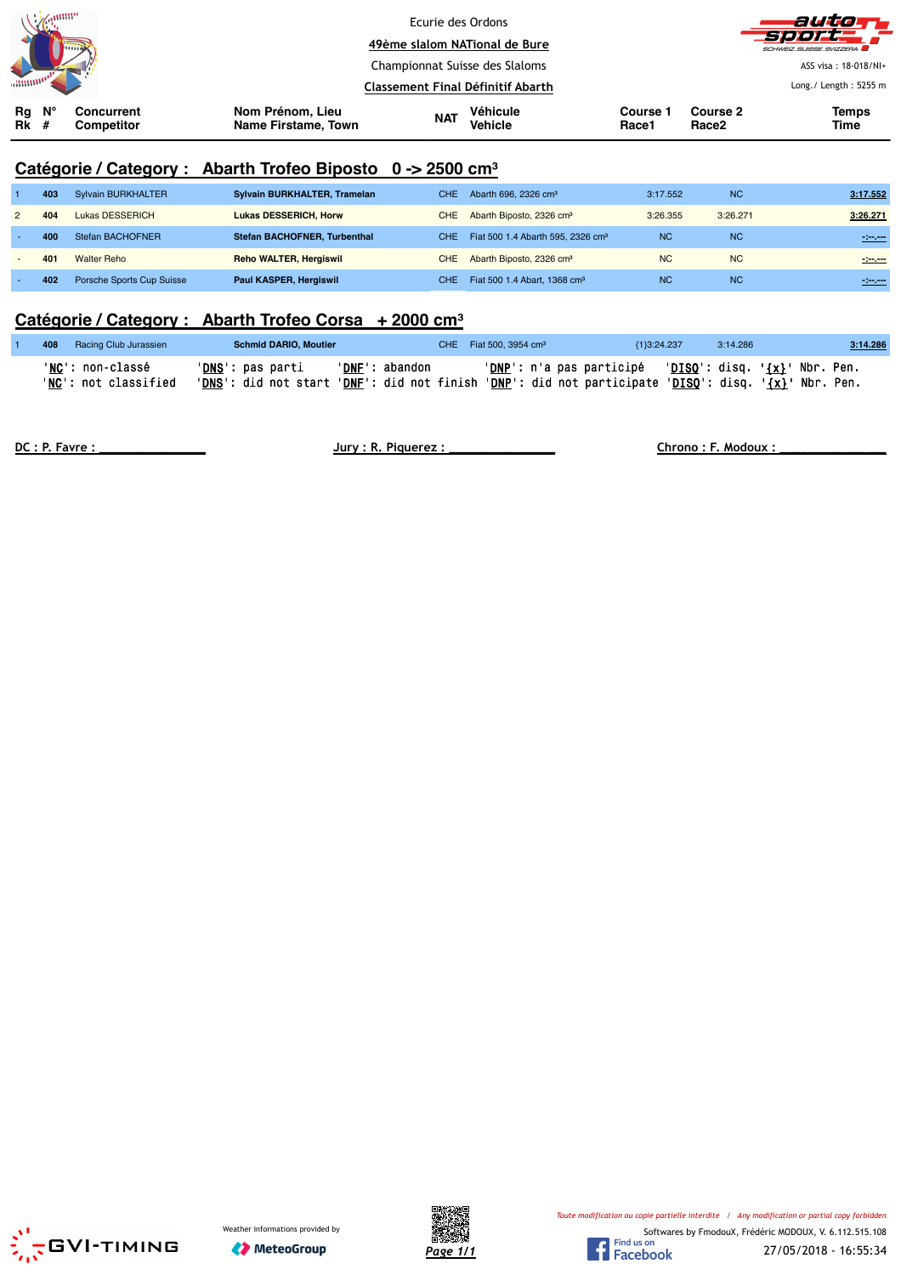|               | $\mathscr{M}^{\text{affiff}}$ | <b>Limits</b>                   |                                         | Ecurie des Ordons<br>49ème slalom NATional de Bure |                     |                          |                               | auto T<br>-500FC<br>SCHWEIZ SUISSE SVIZZERA |
|---------------|-------------------------------|---------------------------------|-----------------------------------------|----------------------------------------------------|---------------------|--------------------------|-------------------------------|---------------------------------------------|
|               |                               |                                 |                                         | Championnat Suisse des Slaloms                     |                     |                          | ASS visa: 18-018/NI+          |                                             |
|               |                               |                                 |                                         | Classement Final Définitif Abarth                  |                     |                          |                               | Long./ Length: 5255 m                       |
| Rg<br>$Rk \#$ | N°                            | Concurrent<br><b>Competitor</b> | Nom Prénom, Lieu<br>Name Firstame, Town | <b>NAT</b>                                         | Véhicule<br>Vehicle | <b>Course 1</b><br>Race1 | Course 2<br>Race <sub>2</sub> | <b>Temps</b><br>Time                        |

# **Catégorie / Category : Abarth Trofeo Biposto 0 -> 2500 cm³**

| 403 | Sylvain BURKHALTER        | Sylvain BURKHALTER, Tramelan        | <b>CHE</b> | Abarth 696, 2326 cm <sup>3</sup>              | 3:17.552  | <b>NC</b> | 3:17.552     |
|-----|---------------------------|-------------------------------------|------------|-----------------------------------------------|-----------|-----------|--------------|
| 404 | Lukas DESSERICH           | <b>Lukas DESSERICH, Horw</b>        | CHE.       | Abarth Biposto, 2326 cm <sup>3</sup>          | 3:26.355  | 3:26.271  | 3:26.271     |
| 400 | Stefan BACHOFNER          | <b>Stefan BACHOFNER, Turbenthal</b> | CHE.       | Fiat 500 1.4 Abarth 595, 2326 cm <sup>3</sup> | <b>NC</b> | <b>NC</b> | -----        |
| 401 | Walter Reho               | <b>Reho WALTER, Hergiswil</b>       | CHE        | Abarth Biposto, 2326 cm <sup>3</sup>          | <b>NC</b> | <b>NC</b> | $-200 - 200$ |
| 402 | Porsche Sports Cup Suisse | Paul KASPER, Hergiswil              | CHE.       | Fiat 500 1.4 Abart, 1368 cm <sup>3</sup>      | <b>NC</b> | <b>NC</b> | -----        |

#### **Catégorie / Category : Abarth Trofeo Corsa + 2000 cm³**

| 408 | Racing Club Jurassien                    | <b>Schmid DARIO, Moutier</b>                                                                                                     |                | CHE Fiat 500, 3954 cm <sup>3</sup>                               | {1}3:24.237 | 3:14.286 | 3.14.286 |
|-----|------------------------------------------|----------------------------------------------------------------------------------------------------------------------------------|----------------|------------------------------------------------------------------|-------------|----------|----------|
|     | 'NC': non-classé<br>'NC': not classified | ' <b>DNS</b> ': pas parti<br>'DNS': did not start 'DNF': did not finish 'DNP': did not participate 'DISQ': disq. '{x}' Nbr. Pen. | 'DNF': abandon | $'DNP'$ : n'a pas participé $'DISO'$ : disq. $\{x\}$ ' Nbr. Pen. |             |          |          |

**DC : P. Favre : \_\_\_\_\_\_\_\_\_\_\_\_\_\_\_ Jury : R. Piquerez : \_\_\_\_\_\_\_\_\_\_\_\_\_\_\_ Chrono : F. Modoux : \_\_\_\_\_\_\_\_\_\_\_\_\_\_\_**





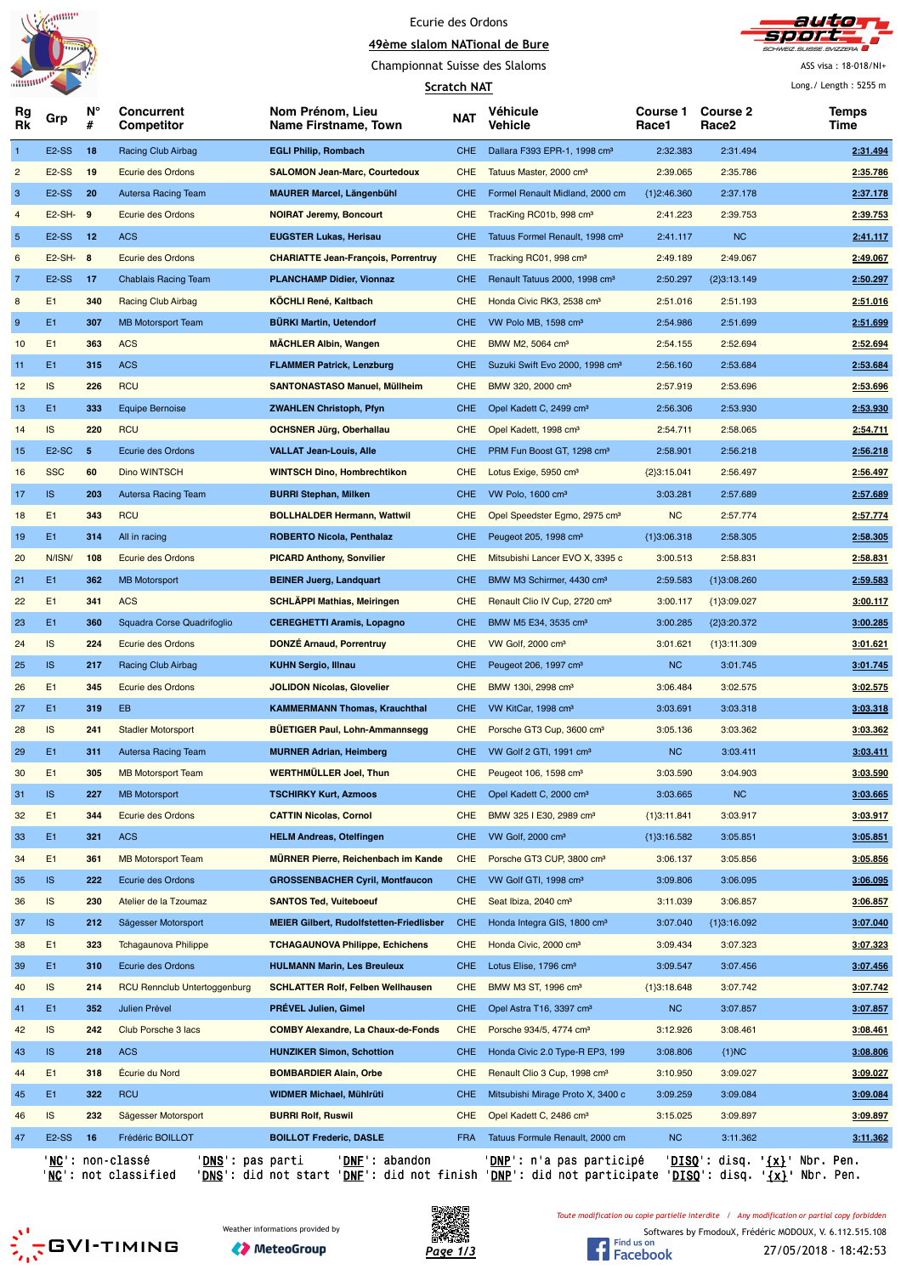



Championnat Suisse des Slaloms

#### **Scratch NAT**

ASS visa : 18-018/NI+ Long./ Length : 5255 m

|                |                    |         |                                     |                                                 | <u>Scratch NAT</u> |                                             |                          |                                      | Long. $/$ Length : 5255 m |
|----------------|--------------------|---------|-------------------------------------|-------------------------------------------------|--------------------|---------------------------------------------|--------------------------|--------------------------------------|---------------------------|
| Rg<br>Rk       | Grp                | N°<br># | Concurrent<br>Competitor            | Nom Prénom, Lieu<br>Name Firstname, Town        | <b>NAT</b>         | <b>Véhicule</b><br>Vehicle                  | <b>Course 1</b><br>Race1 | <b>Course 2</b><br>Race <sub>2</sub> | Temps<br>Time             |
| $\mathbf{1}$   | E <sub>2</sub> -SS | 18      | Racing Club Airbag                  | <b>EGLI Philip, Rombach</b>                     | CHE.               | Dallara F393 EPR-1, 1998 cm <sup>3</sup>    | 2:32.383                 | 2:31.494                             | 2:31.494                  |
| $\overline{c}$ | <b>E2-SS</b>       | 19      | Ecurie des Ordons                   | <b>SALOMON Jean-Marc, Courtedoux</b>            | CHE                | Tatuus Master, 2000 cm <sup>3</sup>         | 2:39.065                 | 2:35.786                             | 2:35.786                  |
| 3              | E <sub>2</sub> -SS | 20      | Autersa Racing Team                 | <b>MAURER Marcel, Längenbühl</b>                | CHE.               | Formel Renault Midland, 2000 cm             | ${1}2:46.360$            | 2:37.178                             | 2:37.178                  |
| $\overline{4}$ | $E2-SH-9$          |         | Ecurie des Ordons                   | <b>NOIRAT Jeremy, Boncourt</b>                  | CHE.               | TracKing RC01b, 998 cm <sup>3</sup>         | 2:41.223                 | 2:39.753                             | 2:39.753                  |
| $\sqrt{5}$     | E <sub>2</sub> -SS | 12      | <b>ACS</b>                          | <b>EUGSTER Lukas, Herisau</b>                   | <b>CHE</b>         | Tatuus Formel Renault, 1998 cm <sup>3</sup> | 2:41.117                 | <b>NC</b>                            | 2:41.117                  |
| 6              | $E2-SH-8$          |         | Ecurie des Ordons                   | <b>CHARIATTE Jean-François, Porrentruy</b>      | <b>CHE</b>         | Tracking RC01, 998 cm <sup>3</sup>          | 2:49.189                 | 2:49.067                             | 2:49.067                  |
| $\overline{7}$ | E <sub>2</sub> -SS | 17      | <b>Chablais Racing Team</b>         | <b>PLANCHAMP Didier, Vionnaz</b>                | CHE.               | Renault Tatuus 2000, 1998 cm <sup>3</sup>   | 2:50.297                 | ${2}3:13.149$                        | 2:50.297                  |
| 8              | E1                 | 340     | Racing Club Airbag                  | <b>KOCHLI René, Kaltbach</b>                    | <b>CHE</b>         | Honda Civic RK3, 2538 cm <sup>3</sup>       | 2:51.016                 | 2:51.193                             | 2:51.016                  |
| 9              | E1                 | 307     | <b>MB Motorsport Team</b>           | <b>BÜRKI Martin, Uetendorf</b>                  | <b>CHE</b>         | VW Polo MB, 1598 cm <sup>3</sup>            | 2:54.986                 | 2:51.699                             | 2:51.699                  |
| 10             | E1                 | 363     | <b>ACS</b>                          | <b>MACHLER Albin, Wangen</b>                    | <b>CHE</b>         | BMW M2, 5064 cm <sup>3</sup>                | 2:54.155                 | 2:52.694                             | 2:52.694                  |
| 11             | E1                 | 315     | <b>ACS</b>                          | <b>FLAMMER Patrick, Lenzburg</b>                | CHE.               | Suzuki Swift Evo 2000, 1998 cm <sup>3</sup> | 2:56.160                 | 2:53.684                             | 2:53.684                  |
| 12             | IS                 | 226     | <b>RCU</b>                          | <b>SANTONASTASO Manuel, Müllheim</b>            | <b>CHE</b>         | BMW 320, 2000 cm <sup>3</sup>               | 2:57.919                 | 2:53.696                             | 2:53.696                  |
| 13             | E1                 | 333     | <b>Equipe Bernoise</b>              | <b>ZWAHLEN Christoph, Pfyn</b>                  | CHE.               | Opel Kadett C, 2499 cm <sup>3</sup>         | 2:56.306                 | 2:53.930                             | 2:53.930                  |
| 14             | IS                 | 220     | <b>RCU</b>                          | <b>OCHSNER Jürg, Oberhallau</b>                 | <b>CHE</b>         | Opel Kadett, 1998 cm <sup>3</sup>           | 2:54.711                 | 2:58.065                             | 2:54.711                  |
| 15             | E <sub>2</sub> -SC | 5       | Ecurie des Ordons                   | <b>VALLAT Jean-Louis, Alle</b>                  | CHE.               | PRM Fun Boost GT, 1298 cm <sup>3</sup>      | 2:58.901                 | 2:56.218                             | 2:56.218                  |
| 16             | <b>SSC</b>         | 60      | <b>Dino WINTSCH</b>                 | <b>WINTSCH Dino, Hombrechtikon</b>              | <b>CHE</b>         | Lotus Exige, 5950 cm <sup>3</sup>           | ${2}3:15.041$            | 2:56.497                             | 2:56.497                  |
| 17             | <b>IS</b>          | 203     | Autersa Racing Team                 | <b>BURRI Stephan, Milken</b>                    | CHE.               | VW Polo, 1600 cm <sup>3</sup>               | 3:03.281                 | 2:57.689                             | 2:57.689                  |
| 18             | E1                 | 343     | <b>RCU</b>                          | <b>BOLLHALDER Hermann, Wattwil</b>              | <b>CHE</b>         | Opel Speedster Egmo, 2975 cm <sup>3</sup>   | <b>NC</b>                | 2:57.774                             | 2:57.774                  |
|                | E1                 | 314     |                                     | <b>ROBERTO Nicola, Penthalaz</b>                | CHE.               | Peugeot 205, 1998 cm <sup>3</sup>           | ${1}3:06.318$            |                                      |                           |
| 19             | N/ISN/             | 108     | All in racing<br>Ecurie des Ordons  | <b>PICARD Anthony, Sonvilier</b>                | <b>CHE</b>         | Mitsubishi Lancer EVO X, 3395 c             | 3:00.513                 | 2:58.305<br>2:58.831                 | 2:58.305<br>2:58.831      |
| 20<br>21       | E1                 | 362     |                                     |                                                 | <b>CHE</b>         | BMW M3 Schirmer, 4430 cm <sup>3</sup>       | 2:59.583                 |                                      | 2:59.583                  |
|                |                    |         | <b>MB Motorsport</b>                | <b>BEINER Juerg, Landquart</b>                  |                    |                                             |                          | ${1}3:08.260$                        |                           |
| 22             | E1                 | 341     | <b>ACS</b>                          | <b>SCHLAPPI Mathias, Meiringen</b>              | <b>CHE</b>         | Renault Clio IV Cup, 2720 cm <sup>3</sup>   | 3:00.117                 | ${1}3:09.027$                        | 3:00.117                  |
| 23             | E1                 | 360     | Squadra Corse Quadrifoglio          | <b>CEREGHETTI Aramis, Lopagno</b>               | CHE.               | BMW M5 E34, 3535 cm <sup>3</sup>            | 3:00.285                 | ${2}3:20.372$                        | 3:00.285                  |
| 24             | IS                 | 224     | Ecurie des Ordons                   | <b>DONZE Arnaud, Porrentruy</b>                 | CHE                | VW Golf, 2000 cm <sup>3</sup>               | 3:01.621                 | ${1}3:11.309$                        | 3:01.621                  |
| 25             | <b>IS</b>          | 217     | Racing Club Airbag                  | <b>KUHN Sergio, Illnau</b>                      | <b>CHE</b>         | Peugeot 206, 1997 cm <sup>3</sup>           | <b>NC</b>                | 3:01.745                             | 3:01.745                  |
| 26             | E1                 | 345     | Ecurie des Ordons                   | <b>JOLIDON Nicolas, Glovelier</b>               | CHE                | BMW 130i, 2998 cm <sup>3</sup>              | 3:06.484                 | 3:02.575                             | 3:02.575                  |
| 27             | E1                 | 319     | EB                                  | <b>KAMMERMANN Thomas, Krauchthal</b>            | <b>CHE</b>         | VW KitCar, 1998 cm <sup>3</sup>             | 3:03.691                 | 3:03.318                             | 3:03.318                  |
| 28             | <b>IS</b>          | 241     | <b>Stadler Motorsport</b>           | <b>BUETIGER Paul, Lohn-Ammannsegg</b>           | <b>CHE</b>         | Porsche GT3 Cup, 3600 cm <sup>3</sup>       | 3:05.136                 | 3:03.362                             | 3:03.362                  |
| 29             | E1                 | 311     | Autersa Racing Team                 | <b>MURNER Adrian, Heimberg</b>                  | CHE.               | VW Golf 2 GTI, 1991 cm <sup>3</sup>         | <b>NC</b>                | 3:03.411                             | 3:03.411                  |
| 30             | E1                 | 305     | <b>MB Motorsport Team</b>           | <b>WERTHMÜLLER Joel, Thun</b>                   | <b>CHE</b>         | Peugeot 106, 1598 cm <sup>3</sup>           | 3:03.590                 | 3:04.903                             | 3:03.590                  |
| 31             | IS.                | 227     | <b>MB Motorsport</b>                | <b>TSCHIRKY Kurt, Azmoos</b>                    | CHE.               | Opel Kadett C, 2000 cm <sup>3</sup>         | 3:03.665                 | <b>NC</b>                            | 3:03.665                  |
| 32             | E1                 | 344     | Ecurie des Ordons                   | <b>CATTIN Nicolas, Cornol</b>                   | <b>CHE</b>         | BMW 325 I E30, 2989 cm <sup>3</sup>         | ${1}3:11.841$            | 3:03.917                             | 3:03.917                  |
| 33             | E1                 | 321     | <b>ACS</b>                          | <b>HELM Andreas, Otelfingen</b>                 | <b>CHE</b>         | VW Golf, 2000 cm <sup>3</sup>               | ${1}3:16.582$            | 3:05.851                             | 3:05.851                  |
| 34             | E1                 | 361     | <b>MB Motorsport Team</b>           | <b>MÜRNER Pierre, Reichenbach im Kande</b>      | <b>CHE</b>         | Porsche GT3 CUP, 3800 cm <sup>3</sup>       | 3:06.137                 | 3:05.856                             | 3:05.856                  |
| 35             | IS.                | 222     | Ecurie des Ordons                   | <b>GROSSENBACHER Cyril, Montfaucon</b>          | <b>CHE</b>         | VW Golf GTI, 1998 cm <sup>3</sup>           | 3:09.806                 | 3:06.095                             | 3:06.095                  |
| 36             | IS                 | 230     | Atelier de la Tzoumaz               | <b>SANTOS Ted, Vuiteboeuf</b>                   | <b>CHE</b>         | Seat Ibiza, 2040 cm <sup>3</sup>            | 3:11.039                 | 3:06.857                             | 3:06.857                  |
| 37             | IS.                | 212     | Sägesser Motorsport                 | <b>MEIER Gilbert, Rudolfstetten-Friedlisber</b> | <b>CHE</b>         | Honda Integra GIS, 1800 cm <sup>3</sup>     | 3:07.040                 | ${1}3:16.092$                        | 3:07.040                  |
| 38             | E1                 | 323     | <b>Tchagaunova Philippe</b>         | <b>TCHAGAUNOVA Philippe, Echichens</b>          | <b>CHE</b>         | Honda Civic, 2000 cm <sup>3</sup>           | 3:09.434                 | 3:07.323                             | 3:07.323                  |
| 39             | E1                 | 310     | Ecurie des Ordons                   | <b>HULMANN Marin, Les Breuleux</b>              | CHE.               | Lotus Elise, 1796 cm <sup>3</sup>           | 3:09.547                 | 3:07.456                             | 3:07.456                  |
| 40             | IS.                | 214     | <b>RCU Rennclub Untertoggenburg</b> | <b>SCHLATTER Rolf, Felben Wellhausen</b>        | <b>CHE</b>         | BMW M3 ST, 1996 cm <sup>3</sup>             | ${1}3:18.648$            | 3:07.742                             | 3:07.742                  |
| 41             | E1                 | 352     | Julien Prével                       | PRÉVEL Julien, Gimel                            | <b>CHE</b>         | Opel Astra T16, 3397 cm <sup>3</sup>        | NC                       | 3:07.857                             | 3:07.857                  |
| 42             | IS.                | 242     | Club Porsche 3 lacs                 | <b>COMBY Alexandre, La Chaux-de-Fonds</b>       | <b>CHE</b>         | Porsche 934/5, 4774 cm <sup>3</sup>         | 3:12.926                 | 3:08.461                             | 3:08.461                  |
| 43             | IS.                | 218     | <b>ACS</b>                          | <b>HUNZIKER Simon, Schottion</b>                | <b>CHE</b>         | Honda Civic 2.0 Type-R EP3, 199             | 3:08.806                 | ${1}MC$                              | 3:08.806                  |
| 44             | E1                 | 318     | Ecurie du Nord                      | <b>BOMBARDIER Alain, Orbe</b>                   | <b>CHE</b>         | Renault Clio 3 Cup, 1998 cm <sup>3</sup>    | 3:10.950                 | 3:09.027                             | 3:09.027                  |
| 45             | E1                 | 322     | <b>RCU</b>                          | WIDMER Michael, Mühlrüti                        | <b>CHE</b>         | Mitsubishi Mirage Proto X, 3400 c           | 3:09.259                 | 3:09.084                             | 3:09.084                  |
| 46             | IS                 | 232     | Sägesser Motorsport                 | <b>BURRI Rolf, Ruswil</b>                       | <b>CHE</b>         | Opel Kadett C, 2486 cm <sup>3</sup>         | 3:15.025                 | 3:09.897                             | 3:09.897                  |
| 47             | E <sub>2</sub> -SS | 16      | Frédéric BOILLOT                    | <b>BOILLOT Frederic, DASLE</b>                  | <b>FRA</b>         | Tatuus Formule Renault, 2000 cm             | <b>NC</b>                | 3:11.362                             | 3:11.362                  |
|                |                    |         |                                     |                                                 |                    |                                             |                          |                                      |                           |

'<u>NC</u>': non-classé '<u>DNS</u>': pas parti '<u>DNF</u>': abandon '<u>DNP</u>': n'a pas participé '<u>DISQ</u>': disq. '<u>{x}</u>' Nbr. Pen.

'NC': not classified 'DNS': did not start 'DNF': did not finish 'DNP': did not participate 'DISQ': disq. '{x}' Nbr. Pen.

*Toute modification ou copie partielle interdite / Any modification or partial copy forbidden*





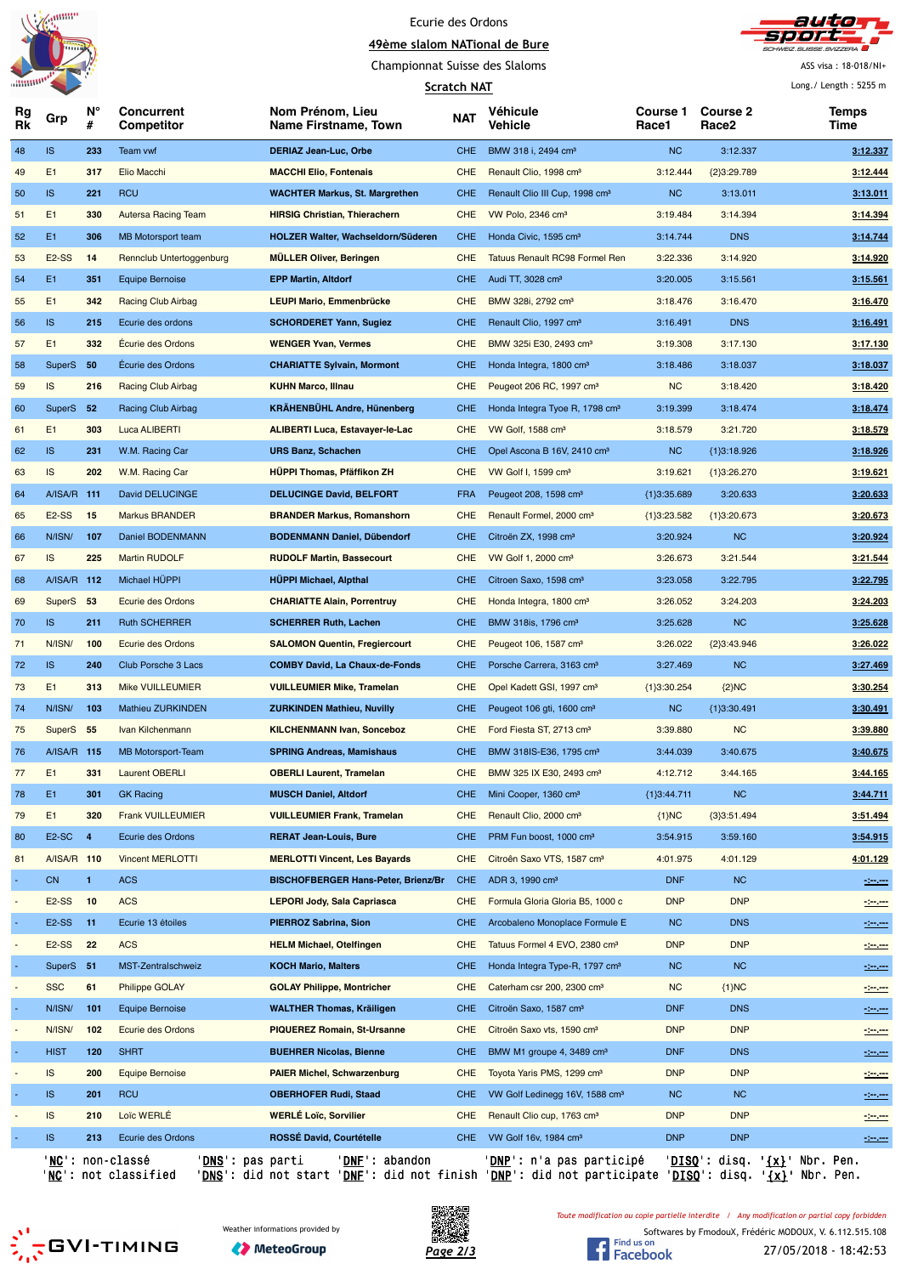



Championnat Suisse des Slaloms

**Scratch NAT**

ASS visa : 18-018/NI+ Long./ Length : 5255 m

|          |                    |                |                                               |                                            | Scratch NAT |                                            |                   |                          | Long./ Length : 5255 m            |
|----------|--------------------|----------------|-----------------------------------------------|--------------------------------------------|-------------|--------------------------------------------|-------------------|--------------------------|-----------------------------------|
| Rg<br>Rk | Grp                | N°<br>#        | Concurrent<br>Competitor                      | Nom Prénom, Lieu<br>Name Firstname, Town   | <b>NAT</b>  | Véhicule<br>Vehicle                        | Course 1<br>Race1 | <b>Course 2</b><br>Race2 | Temps<br>Time                     |
| 48       | IS.                | 233            | Team vwf                                      | <b>DERIAZ Jean-Luc, Orbe</b>               | CHE.        | BMW 318 i, 2494 cm <sup>3</sup>            | NC                | 3:12.337                 | 3:12.337                          |
| 49       | E1                 | 317            | Elio Macchi                                   | <b>MACCHI Elio, Fontenais</b>              | <b>CHE</b>  | Renault Clio, 1998 cm <sup>3</sup>         | 3:12.444          | {2}3:29.789              | 3:12.444                          |
| 50       | <b>IS</b>          | 221            | <b>RCU</b>                                    | <b>WACHTER Markus, St. Margrethen</b>      | <b>CHE</b>  | Renault Clio III Cup, 1998 cm <sup>3</sup> | NC                | 3:13.011                 | 3:13.011                          |
| 51       | E1                 | 330            | <b>Autersa Racing Team</b>                    | <b>HIRSIG Christian, Thierachern</b>       | <b>CHE</b>  | VW Polo, 2346 cm <sup>3</sup>              | 3:19.484          | 3:14.394                 | 3:14.394                          |
| 52       | E1                 | 306            | <b>MB Motorsport team</b>                     | HOLZER Walter, Wachseldorn/Süderen         | <b>CHE</b>  | Honda Civic, 1595 cm <sup>3</sup>          | 3:14.744          | <b>DNS</b>               | 3:14.744                          |
| 53       | E <sub>2</sub> -SS | 14             | Rennclub Untertoggenburg                      | <b>MÜLLER Oliver, Beringen</b>             | <b>CHE</b>  | <b>Tatuus Renault RC98 Formel Ren</b>      | 3:22.336          | 3:14.920                 | 3:14.920                          |
| 54       | E1                 | 351            | Equipe Bernoise                               | <b>EPP Martin, Altdorf</b>                 | CHE.        | Audi TT, 3028 cm <sup>3</sup>              | 3:20.005          | 3:15.561                 | 3:15.561                          |
| 55       | E1                 | 342            | <b>Racing Club Airbag</b>                     | <b>LEUPI Mario, Emmenbrücke</b>            | <b>CHE</b>  | BMW 328i, 2792 cm <sup>3</sup>             | 3:18.476          | 3:16.470                 | 3:16.470                          |
| 56       | <b>IS</b>          | 215            | Ecurie des ordons                             | <b>SCHORDERET Yann, Sugiez</b>             | CHE.        | Renault Clio, 1997 cm <sup>3</sup>         | 3:16.491          | <b>DNS</b>               | 3:16.491                          |
| 57       | E1                 | 332            | <b>Écurie des Ordons</b>                      | <b>WENGER Yvan, Vermes</b>                 | <b>CHE</b>  | BMW 325i E30, 2493 cm <sup>3</sup>         | 3:19.308          | 3:17.130                 | 3:17.130                          |
| 58       | <b>SuperS</b>      | 50             | <b>Ecurie des Ordons</b>                      | <b>CHARIATTE Sylvain, Mormont</b>          | <b>CHE</b>  | Honda Integra, 1800 cm <sup>3</sup>        | 3:18.486          | 3:18.037                 | 3:18.037                          |
| 59       | IS                 | 216            | Racing Club Airbag                            | <b>KUHN Marco, Illnau</b>                  | <b>CHE</b>  | Peugeot 206 RC, 1997 cm <sup>3</sup>       | <b>NC</b>         | 3:18.420                 | 3:18.420                          |
| 60       | <b>SuperS</b>      | 52             | Racing Club Airbag                            | <b>KRÄHENBÜHL Andre, Hünenberg</b>         | <b>CHE</b>  | Honda Integra Tyoe R, 1798 cm <sup>3</sup> | 3:19.399          | 3:18.474                 | 3:18.474                          |
| 61       | E1                 | 303            | <b>Luca ALIBERTI</b>                          | <b>ALIBERTI Luca, Estavayer-le-Lac</b>     | <b>CHE</b>  | VW Golf, 1588 cm <sup>3</sup>              | 3:18.579          | 3:21.720                 | 3:18.579                          |
| 62       | <b>IS</b>          | 231            | W.M. Racing Car                               | <b>URS Banz, Schachen</b>                  | CHE.        | Opel Ascona B 16V, 2410 cm <sup>3</sup>    | NC                | ${1}3:18.926$            | 3:18.926                          |
| 63       | IS                 | 202            | W.M. Racing Car                               | <b>HÜPPI Thomas, Pfäffikon ZH</b>          | <b>CHE</b>  | VW Golf I, 1599 cm <sup>3</sup>            | 3:19.621          | ${1}3:26.270$            | 3:19.621                          |
| 64       | A/ISA/R 111        |                | David DELUCINGE                               | <b>DELUCINGE David, BELFORT</b>            | <b>FRA</b>  | Peugeot 208, 1598 cm <sup>3</sup>          | ${1}3:35.689$     | 3:20.633                 | 3.20.633                          |
| 65       | E <sub>2</sub> -SS | 15             | <b>Markus BRANDER</b>                         | <b>BRANDER Markus, Romanshorn</b>          | <b>CHE</b>  | Renault Formel, 2000 cm <sup>3</sup>       | ${1}3:23.582$     | ${1}3:20.673$            | 3:20.673                          |
| 66       | N/ISN/             | 107            | Daniel BODENMANN                              | <b>BODENMANN Daniel, Dübendorf</b>         | <b>CHE</b>  | Citroën ZX, 1998 cm <sup>3</sup>           | 3:20.924          | <b>NC</b>                | 3:20.924                          |
| 67       | IS                 | 225            | <b>Martin RUDOLF</b>                          | <b>RUDOLF Martin, Bassecourt</b>           | <b>CHE</b>  | VW Golf 1, 2000 cm <sup>3</sup>            | 3:26.673          | 3:21.544                 | 3:21.544                          |
| 68       | A/ISA/R 112        |                | Michael HÜPPI                                 | <b>HÜPPI Michael, Alpthal</b>              | CHE.        | Citroen Saxo, 1598 cm <sup>3</sup>         | 3:23.058          | 3:22.795                 | 3:22.795                          |
|          |                    |                |                                               |                                            |             |                                            |                   |                          |                                   |
| 69       | SuperS 53          |                | Ecurie des Ordons                             | <b>CHARIATTE Alain, Porrentruy</b>         | <b>CHE</b>  | Honda Integra, 1800 cm <sup>3</sup>        | 3:26.052          | 3:24.203                 | 3:24.203                          |
| 70       | <b>IS</b>          | 211            | <b>Ruth SCHERRER</b>                          | <b>SCHERRER Ruth, Lachen</b>               | CHE.        | BMW 318is, 1796 cm <sup>3</sup>            | 3:25.628          | <b>NC</b>                | 3:25.628                          |
| 71       | N/ISN/             | 100            | Ecurie des Ordons                             | <b>SALOMON Quentin, Fregiercourt</b>       | <b>CHE</b>  | Peugeot 106, 1587 cm <sup>3</sup>          | 3:26.022          | ${2}3:43.946$            | 3:26.022                          |
| 72       | IS.                | 240            | Club Porsche 3 Lacs                           | <b>COMBY David, La Chaux-de-Fonds</b>      | CHE.        | Porsche Carrera, 3163 cm <sup>3</sup>      | 3:27.469          | <b>NC</b>                | 3:27.469                          |
| 73       | E1                 | 313            | <b>Mike VUILLEUMIER</b>                       | <b>VUILLEUMIER Mike, Tramelan</b>          | <b>CHE</b>  | Opel Kadett GSI, 1997 cm <sup>3</sup>      | ${1}3:30.254$     | ${2}NC$                  | 3:30.254                          |
| 74       | N/ISN/             | 103            | Mathieu ZURKINDEN                             | <b>ZURKINDEN Mathieu, Nuvilly</b>          | <b>CHE</b>  | Peugeot 106 gti, 1600 cm <sup>3</sup>      | NC                | ${1}3:30.491$            | 3:30.491                          |
| 75       | SuperS             | 55             | Ivan Kilchenmann                              | <b>KILCHENMANN Ivan, Sonceboz</b>          | <b>CHE</b>  | Ford Fiesta ST, 2713 cm <sup>3</sup>       | 3:39.880          | <b>NC</b>                | 3:39.880                          |
| 76       | A/ISA/R 115        |                | <b>MB Motorsport-Team</b>                     | <b>SPRING Andreas, Mamishaus</b>           | CHE.        | BMW 318IS-E36, 1795 cm <sup>3</sup>        | 3:44.039          | 3:40.675                 | 3:40.675                          |
| 77       | E1                 | 331            | <b>Laurent OBERLI</b>                         | <b>OBERLI Laurent, Tramelan</b>            | CHE         | BMW 325 IX E30, 2493 cm <sup>3</sup>       | 4:12.712          | 3:44.165                 | 3:44.165                          |
| 78       | E1                 | 301            | <b>GK Racing</b>                              | <b>MUSCH Daniel, Altdorf</b>               | <b>CHE</b>  | Mini Cooper, 1360 cm <sup>3</sup>          | ${1}3:44.711$     | NC                       | 3:44.711                          |
| 79       | E1                 | 320            | <b>Frank VUILLEUMIER</b>                      | <b>VUILLEUMIER Frank, Tramelan</b>         | <b>CHE</b>  | Renault Clio, 2000 cm <sup>3</sup>         | ${1}NC$           | ${3}3:51.494$            | 3:51.494                          |
| 80       | E <sub>2</sub> -SC | $\overline{a}$ | Ecurie des Ordons                             | <b>RERAT Jean-Louis, Bure</b>              | <b>CHE</b>  | PRM Fun boost, 1000 cm <sup>3</sup>        | 3:54.915          | 3:59.160                 | 3:54.915                          |
| 81       | A/ISA/R 110        |                | <b>Vincent MERLOTTI</b>                       | <b>MERLOTTI Vincent, Les Bayards</b>       | <b>CHE</b>  | Citroên Saxo VTS, 1587 cm <sup>3</sup>     | 4:01.975          | 4:01.129                 | 4:01.129                          |
|          | <b>CN</b>          | 1              | <b>ACS</b>                                    | <b>BISCHOFBERGER Hans-Peter, Brienz/Br</b> | <b>CHE</b>  | ADR 3, 1990 cm <sup>3</sup>                | <b>DNF</b>        | <b>NC</b>                | $-2$                              |
|          | E <sub>2</sub> -SS | 10             | <b>ACS</b>                                    | <b>LEPORI Jody, Sala Capriasca</b>         | <b>CHE</b>  | Formula Gloria Gloria B5, 1000 c           | <b>DNP</b>        | <b>DNP</b>               | -----                             |
|          | E <sub>2</sub> -SS | 11             | Ecurie 13 étoiles                             | PIERROZ Sabrina, Sion                      | CHE         | Arcobaleno Monoplace Formule E             | <b>NC</b>         | <b>DNS</b>               | $-1 - 1 - 1$                      |
|          | E <sub>2</sub> -SS | 22             | <b>ACS</b>                                    | <b>HELM Michael, Otelfingen</b>            | <b>CHE</b>  | Tatuus Formel 4 EVO, 2380 cm <sup>3</sup>  | <b>DNP</b>        | <b>DNP</b>               | $-1 - 1 = 1$                      |
|          | SuperS 51          |                | MST-Zentralschweiz                            | <b>KOCH Mario, Malters</b>                 | <b>CHE</b>  | Honda Integra Type-R, 1797 cm <sup>3</sup> | NC                | NC                       | <u>- 100 000</u>                  |
|          | <b>SSC</b>         | 61             | Philippe GOLAY                                | <b>GOLAY Philippe, Montricher</b>          | <b>CHE</b>  | Caterham csr 200, 2300 cm <sup>3</sup>     | <b>NC</b>         | ${1}MC$                  | $-200$                            |
|          | N/ISN/             | 101            | <b>Equipe Bernoise</b>                        | <b>WALTHER Thomas, Kräiligen</b>           | CHE         | Citroën Saxo, 1587 cm <sup>3</sup>         | <b>DNF</b>        | <b>DNS</b>               | مسيسين                            |
|          | N/ISN/             | 102            | Ecurie des Ordons                             | <b>PIQUEREZ Romain, St-Ursanne</b>         | <b>CHE</b>  | Citroën Saxo vts, 1590 cm <sup>3</sup>     | <b>DNP</b>        | <b>DNP</b>               | ----                              |
|          | <b>HIST</b>        | 120            | <b>SHRT</b>                                   | <b>BUEHRER Nicolas, Bienne</b>             | <b>CHE</b>  | BMW M1 groupe 4, 3489 cm <sup>3</sup>      | <b>DNF</b>        | <b>DNS</b>               | $\frac{1}{2}$                     |
|          | IS                 | 200            | <b>Equipe Bernoise</b>                        | <b>PAIER Michel, Schwarzenburg</b>         | <b>CHE</b>  | Toyota Yaris PMS, 1299 cm <sup>3</sup>     | <b>DNP</b>        | <b>DNP</b>               | ----                              |
|          | <b>IS</b>          | 201            | <b>RCU</b>                                    | <b>OBERHOFER Rudi, Staad</b>               | CHE         | VW Golf Ledinegg 16V, 1588 cm <sup>3</sup> | <b>NC</b>         | NC                       | $-200$                            |
|          | IS                 | 210            | Loïc WERLÉ                                    | <b>WERLÉ Loïc, Sorvilier</b>               | <b>CHE</b>  | Renault Clio cup, 1763 cm <sup>3</sup>     | <b>DNP</b>        | <b>DNP</b>               | ----                              |
|          | <b>IS</b>          | 213            | Ecurie des Ordons                             | ROSSÉ David, Courtételle                   | <b>CHE</b>  | VW Golf 16v, 1984 cm <sup>3</sup>          | <b>DNP</b>        | <b>DNP</b>               | $-200$                            |
|          |                    |                | 'NC': non-classé<br>' <b>DNS</b> ': pas parti | 'DNF': abandon                             |             | ' <b>DNP</b> ': n'a pas participé          |                   |                          | $'DISO': disq. '\{x}': Nbr. Pen.$ |

'NC': not classified 'DNS': did not start 'DNF': did not finish 'DNP': did not participate 'DISQ': disq. '{x}' Nbr. Pen.





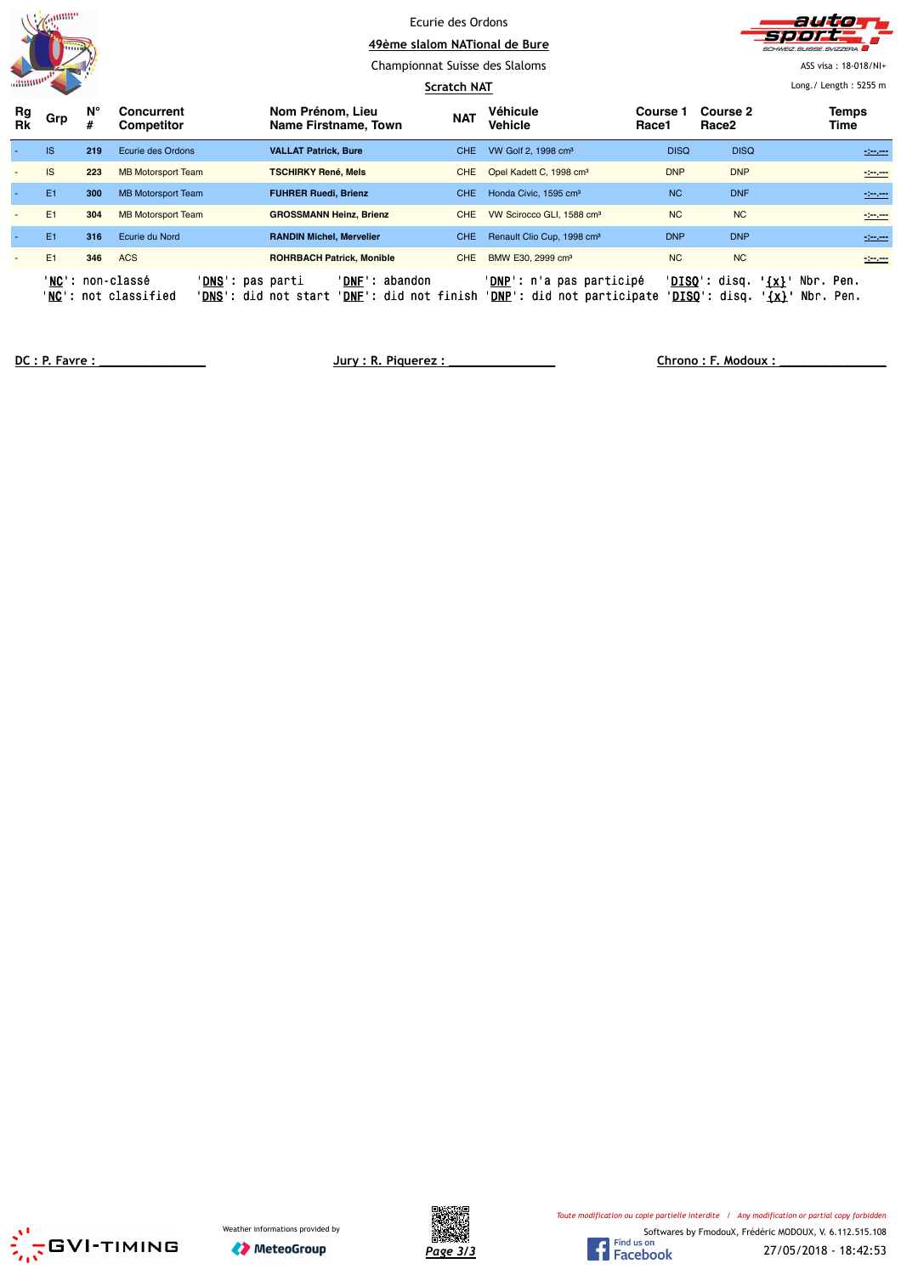|                          | amm            |         |                                                                                      |                                                                                            | Ecurie des Ordons  |                                                                          |                   |                                         | autio                                        |
|--------------------------|----------------|---------|--------------------------------------------------------------------------------------|--------------------------------------------------------------------------------------------|--------------------|--------------------------------------------------------------------------|-------------------|-----------------------------------------|----------------------------------------------|
|                          | mm             |         |                                                                                      |                                                                                            |                    | 49ème slalom NATional de Bure                                            |                   |                                         | HWEIZ SLIISSE SVIZZERA                       |
|                          |                |         |                                                                                      |                                                                                            |                    | Championnat Suisse des Slaloms                                           |                   |                                         | ASS visa: 18-018/NI+                         |
|                          |                |         |                                                                                      |                                                                                            | <b>Scratch NAT</b> |                                                                          |                   |                                         | Long. / Length: $5255$ m                     |
| Rg<br><b>Rk</b>          | Grp            | Ν°<br># | Concurrent<br>Competitor                                                             | Nom Prénom, Lieu<br>Name Firstname, Town                                                   | <b>NAT</b>         | Véhicule<br><b>Vehicle</b>                                               | Course 1<br>Race1 | Course 2<br>Race2                       | <b>Temps</b><br>Time                         |
|                          | <b>IS</b>      | 219     | Ecurie des Ordons                                                                    | <b>VALLAT Patrick, Bure</b>                                                                | CHE.               | VW Golf 2, 1998 cm <sup>3</sup>                                          | <b>DISQ</b>       | <b>DISQ</b>                             | $-200$                                       |
| $\overline{\phantom{a}}$ | IS             | 223     | <b>MB Motorsport Team</b>                                                            | <b>TSCHIRKY René, Mels</b>                                                                 | <b>CHE</b>         | Opel Kadett C, 1998 cm <sup>3</sup>                                      | <b>DNP</b>        | <b>DNP</b>                              | $-200$                                       |
|                          | E <sub>1</sub> | 300     | <b>MB Motorsport Team</b>                                                            | <b>FUHRER Ruedi, Brienz</b>                                                                | CHE.               | Honda Civic, 1595 cm <sup>3</sup>                                        | <b>NC</b>         | <b>DNF</b>                              | $-200$                                       |
|                          | E <sub>1</sub> | 304     | <b>MB Motorsport Team</b>                                                            | <b>GROSSMANN Heinz, Brienz</b>                                                             | <b>CHE</b>         | VW Scirocco GLI, 1588 cm <sup>3</sup>                                    | <b>NC</b>         | <b>NC</b>                               | 120,000                                      |
|                          | E1             | 316     | Ecurie du Nord                                                                       | <b>RANDIN Michel, Mervelier</b>                                                            | CHE.               | Renault Clio Cup, 1998 cm <sup>3</sup>                                   | <b>DNP</b>        | <b>DNP</b>                              | $-200$                                       |
|                          | E <sub>1</sub> | 346     | <b>ACS</b>                                                                           | <b>ROHRBACH Patrick, Monible</b>                                                           | <b>CHE</b>         | BMW E30, 2999 cm <sup>3</sup>                                            | <b>NC</b>         | <b>NC</b>                               | -2020                                        |
|                          |                |         | 'NC': non-classé<br>' <mark>DNS</mark> ': pas parti<br>' <b>NC</b> ': not classified | ' <b>DNF</b> ': abandon<br>' <b>DNS</b> ': did not start<br>' <b>DNF</b> ': did not finish |                    | ' <u>DNP</u> ': n'a pas participé<br>' <b>DNP</b> ': did not participate |                   | ' <u>DISQ</u> ': disq.<br>'DISQ': disq. | Nbr. Pen.<br>$\{x\}$<br>Nbr. Pen.<br>$\{x\}$ |

**DC : P. Favre : \_\_\_\_\_\_\_\_\_\_\_\_\_\_\_ Jury : R. Piquerez : \_\_\_\_\_\_\_\_\_\_\_\_\_\_\_ Chrono : F. Modoux : \_\_\_\_\_\_\_\_\_\_\_\_\_\_\_**





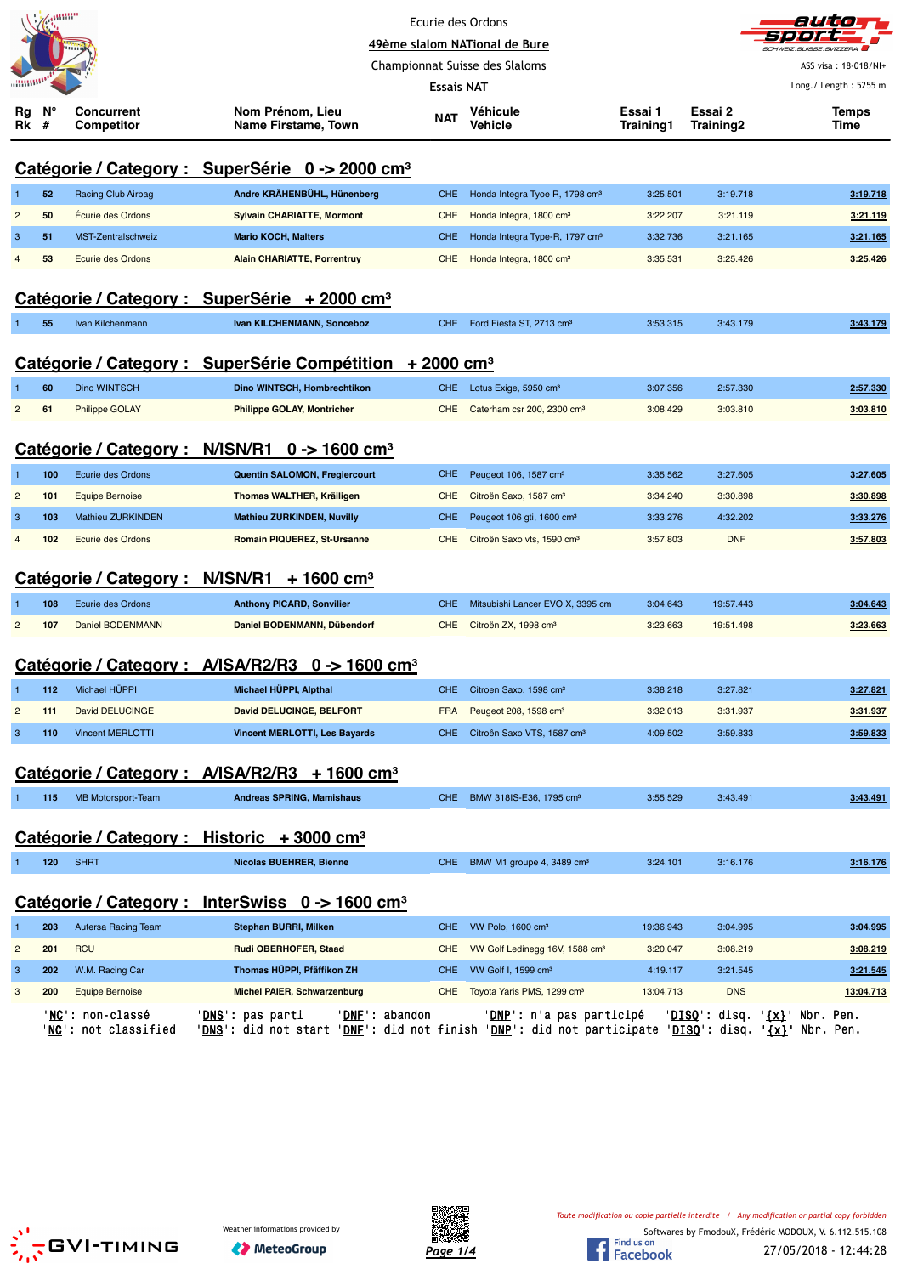|                |     |                                                   |                                                                                                                                  | Ecurie des Ordons               |                                            |           |            |                                |
|----------------|-----|---------------------------------------------------|----------------------------------------------------------------------------------------------------------------------------------|---------------------------------|--------------------------------------------|-----------|------------|--------------------------------|
|                |     |                                                   |                                                                                                                                  | 49ème slalom NATional de Bure   |                                            |           |            |                                |
|                |     |                                                   |                                                                                                                                  | Championnat Suisse des Slaloms  |                                            |           |            | ASS visa: 18-018/NI+           |
| Rg             | N°  | <b>Concurrent</b>                                 | Nom Prénom, Lieu                                                                                                                 | <b>Essais NAT</b><br><b>NAT</b> | Véhicule                                   | Essai 1   | Essai 2    | Long./ Length: 5255 m<br>Temps |
| Rk             | #   | <b>Competitor</b>                                 | Name Firstame, Town                                                                                                              |                                 | Vehicle                                    | Training1 | Training2  | Time                           |
|                |     |                                                   | Catégorie / Category : SuperSérie 0 -> 2000 cm <sup>3</sup>                                                                      |                                 |                                            |           |            |                                |
|                | 52  | Racing Club Airbag                                | Andre KRÄHENBÜHL, Hünenberg                                                                                                      | CHE                             | Honda Integra Tyoe R, 1798 cm <sup>3</sup> | 3:25.501  | 3:19.718   | 3:19.718                       |
| $\overline{2}$ | 50  | Écurie des Ordons                                 | <b>Sylvain CHARIATTE, Mormont</b>                                                                                                | <b>CHE</b>                      | Honda Integra, 1800 cm <sup>3</sup>        | 3:22.207  | 3:21.119   | 3:21.119                       |
| 3              | 51  | MST-Zentralschweiz                                | <b>Mario KOCH, Malters</b>                                                                                                       | <b>CHE</b>                      | Honda Integra Type-R, 1797 cm <sup>3</sup> | 3:32.736  | 3:21.165   | 3:21.165                       |
|                | 53  | <b>Ecurie des Ordons</b>                          | <b>Alain CHARIATTE, Porrentruy</b>                                                                                               | <b>CHE</b>                      | Honda Integra, 1800 cm <sup>3</sup>        | 3:35.531  | 3:25.426   | 3:25.426                       |
|                |     |                                                   | Catégorie / Category : SuperSérie + 2000 cm <sup>3</sup>                                                                         |                                 |                                            |           |            |                                |
|                | 55  | Ivan Kilchenmann                                  | Ivan KILCHENMANN, Sonceboz                                                                                                       | <b>CHE</b>                      | Ford Fiesta ST, 2713 cm <sup>3</sup>       | 3:53.315  | 3:43.179   | 3:43.179                       |
|                |     |                                                   | Catégorie / Category : SuperSérie Compétition + 2000 cm <sup>3</sup>                                                             |                                 |                                            |           |            |                                |
|                | 60  | Dino WINTSCH                                      | <b>Dino WINTSCH. Hombrechtikon</b>                                                                                               | <b>CHE</b>                      | Lotus Exige, 5950 cm <sup>3</sup>          | 3:07.356  | 2:57.330   | 2:57.330                       |
| $\overline{2}$ | 61  | <b>Philippe GOLAY</b>                             | <b>Philippe GOLAY, Montricher</b>                                                                                                | CHE                             | Caterham csr 200, 2300 cm <sup>3</sup>     | 3:08.429  | 3:03.810   | 3:03.810                       |
|                |     |                                                   | Catégorie / Category : N/ISN/R1 0 -> 1600 cm <sup>3</sup>                                                                        |                                 |                                            |           |            |                                |
| -1             | 100 | Ecurie des Ordons                                 | Quentin SALOMON, Fregiercourt                                                                                                    | <b>CHE</b>                      | Peugeot 106, 1587 cm <sup>3</sup>          | 3:35.562  | 3:27.605   | 3:27.605                       |
| $\overline{c}$ | 101 | <b>Equipe Bernoise</b>                            | Thomas WALTHER, Kräiligen                                                                                                        | <b>CHE</b>                      | Citroën Saxo, 1587 cm <sup>3</sup>         | 3:34.240  | 3:30.898   | 3:30.898                       |
| 3              | 103 | Mathieu ZURKINDEN                                 | <b>Mathieu ZURKINDEN, Nuvilly</b>                                                                                                | <b>CHE</b>                      | Peugeot 106 gti, 1600 cm <sup>3</sup>      | 3:33.276  | 4:32.202   | 3:33.276                       |
| $\overline{4}$ | 102 | Ecurie des Ordons                                 | Romain PIQUEREZ, St-Ursanne                                                                                                      | <b>CHE</b>                      | Citroën Saxo vts, 1590 cm <sup>3</sup>     | 3:57.803  | <b>DNF</b> | 3:57.803                       |
|                |     |                                                   |                                                                                                                                  |                                 |                                            |           |            |                                |
|                |     |                                                   | Catégorie / Category : N/ISN/R1 + 1600 cm <sup>3</sup>                                                                           |                                 |                                            |           |            |                                |
|                | 108 | Ecurie des Ordons                                 | <b>Anthony PICARD, Sonvilier</b>                                                                                                 | <b>CHE</b>                      | Mitsubishi Lancer EVO X, 3395 cm           | 3:04.643  | 19:57.443  | 3:04.643                       |
| 2              | 107 | Daniel BODENMANN                                  | Daniel BODENMANN, Dübendorf                                                                                                      | <b>CHE</b>                      | Citroën ZX, 1998 cm <sup>3</sup>           | 3:23.663  | 19:51.498  | 3:23.663                       |
|                |     |                                                   | Catégorie / Category : A/ISA/R2/R3 0 -> 1600 cm <sup>3</sup>                                                                     |                                 |                                            |           |            |                                |
| $\overline{1}$ | 112 | Michael HÜPPI                                     | Michael HÜPPI, Alpthal                                                                                                           | <b>CHE</b>                      | Citroen Saxo, 1598 cm <sup>3</sup>         | 3:38.218  | 3:27.821   | 3:27.821                       |
| $\overline{c}$ | 111 | David DELUCINGE                                   | <b>David DELUCINGE, BELFORT</b>                                                                                                  | <b>FRA</b>                      | Peugeot 208, 1598 cm <sup>3</sup>          | 3:32.013  | 3:31.937   | 3:31.937                       |
| $\mathbf{3}$   | 110 | <b>Vincent MERLOTTI</b>                           | <b>Vincent MERLOTTI, Les Bayards</b>                                                                                             |                                 | CHE Citroên Saxo VTS, 1587 cm <sup>3</sup> | 4:09.502  | 3:59.833   | 3:59.833                       |
|                |     |                                                   |                                                                                                                                  |                                 |                                            |           |            |                                |
|                |     |                                                   | Catégorie / Category : A/ISA/R2/R3 + 1600 cm <sup>3</sup>                                                                        |                                 |                                            |           |            |                                |
|                | 115 | <b>MB Motorsport-Team</b>                         | <b>Andreas SPRING, Mamishaus</b>                                                                                                 |                                 | CHE BMW 318IS-E36, 1795 cm <sup>3</sup>    | 3:55.529  | 3:43.491   | 3:43.491                       |
|                |     |                                                   | Catégorie / Category : Historic + 3000 cm <sup>3</sup>                                                                           |                                 |                                            |           |            |                                |
| 1              | 120 | <b>SHRT</b>                                       | <b>Nicolas BUEHRER, Bienne</b>                                                                                                   |                                 | CHE BMW M1 groupe 4, 3489 cm <sup>3</sup>  | 3:24.101  | 3:16.176   | 3:16.176                       |
|                |     |                                                   | Catégorie / Category : InterSwiss 0 -> 1600 cm <sup>3</sup>                                                                      |                                 |                                            |           |            |                                |
|                | 203 | Autersa Racing Team                               | Stephan BURRI, Milken                                                                                                            | <b>CHE</b>                      | VW Polo, 1600 cm <sup>3</sup>              | 19:36.943 | 3:04.995   | 3:04.995                       |
| $\overline{c}$ | 201 | <b>RCU</b>                                        | Rudi OBERHOFER, Staad                                                                                                            | <b>CHE</b>                      | VW Golf Ledinegg 16V, 1588 cm <sup>3</sup> | 3:20.047  | 3:08.219   | 3:08.219                       |
| 3              | 202 | W.M. Racing Car                                   | Thomas HÜPPI, Pfäffikon ZH                                                                                                       | <b>CHE</b>                      | VW Golf I, 1599 cm <sup>3</sup>            | 4:19.117  | 3:21.545   | 3:21.545                       |
| 3              | 200 | <b>Equipe Bernoise</b>                            | <b>Michel PAIER, Schwarzenburg</b>                                                                                               | <b>CHE</b>                      | Toyota Yaris PMS, 1299 cm <sup>3</sup>     | 13:04.713 | <b>DNS</b> | 13:04.713                      |
|                |     | ' <b>NC</b> ': non-classé<br>'NC': not classified | ' <u>DNS</u> ': pas parti<br>'DNS': did not start 'DNF': did not finish 'DNP': did not participate 'DISQ': disq. '{x}' Nbr. Pen. | 'DNE' abandon                   | ' <mark>DNP</mark> ': n'a pas participé    |           |            | 'DISQ': disq. '{x}' Nbr. Pen.  |
|                |     |                                                   |                                                                                                                                  |                                 |                                            |           |            |                                |
|                |     |                                                   |                                                                                                                                  |                                 |                                            |           |            |                                |
|                |     |                                                   |                                                                                                                                  |                                 |                                            |           |            |                                |



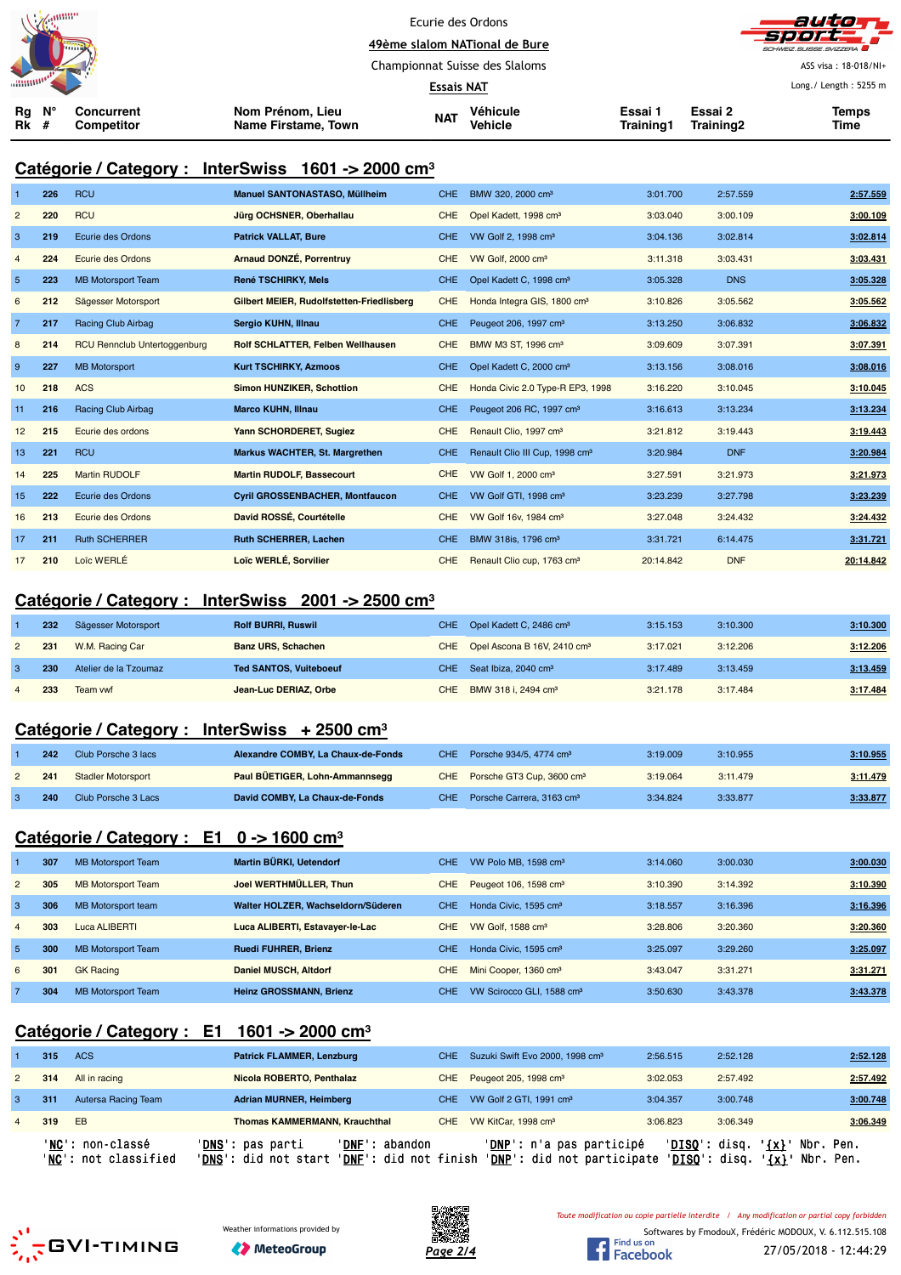|          | <b>Newman</b><br><b>Himma</b> |                          |                                         | Ecurie des Ordons<br>49ème slalom NATional de Bure |                            |                      | autom<br>sport - I<br>SCHWEIZ.SUISSE.SVIZZERA |                             |  |
|----------|-------------------------------|--------------------------|-----------------------------------------|----------------------------------------------------|----------------------------|----------------------|-----------------------------------------------|-----------------------------|--|
|          |                               |                          |                                         | Championnat Suisse des Slaloms                     |                            |                      |                                               | ASS visa: 18-018/NI+        |  |
|          |                               |                          |                                         | <b>Essais NAT</b>                                  |                            |                      |                                               | Long./ Length: 5255 m       |  |
| Rg<br>Rk | N°                            | Concurrent<br>Competitor | Nom Prénom, Lieu<br>Name Firstame, Town | <b>NAT</b>                                         | Véhicule<br><b>Vehicle</b> | Essai 1<br>Training1 | Essai 2<br>Training2                          | <b>Temps</b><br><b>Time</b> |  |

## **Catégorie / Category : InterSwiss 1601 -> 2000 cm³**

|                | 226 | <b>RCU</b>                          | <b>Manuel SANTONASTASO, Müllheim</b>      | <b>CHE</b> | BMW 320, 2000 cm <sup>3</sup>              | 3:01.700  | 2:57.559   | 2:57.559  |
|----------------|-----|-------------------------------------|-------------------------------------------|------------|--------------------------------------------|-----------|------------|-----------|
| $\overline{2}$ | 220 | <b>RCU</b>                          | Jürg OCHSNER, Oberhallau                  | <b>CHE</b> | Opel Kadett, 1998 cm <sup>3</sup>          | 3:03.040  | 3:00.109   | 3:00.109  |
| 3              | 219 | Ecurie des Ordons                   | <b>Patrick VALLAT, Bure</b>               | CHE.       | VW Golf 2, 1998 cm <sup>3</sup>            | 3:04.136  | 3:02.814   | 3:02.814  |
| $\overline{4}$ | 224 | Ecurie des Ordons                   | Arnaud DONZÉ, Porrentruy                  | <b>CHE</b> | VW Golf, 2000 cm <sup>3</sup>              | 3:11.318  | 3:03.431   | 3:03.431  |
| $5\phantom{1}$ | 223 | <b>MB Motorsport Team</b>           | <b>René TSCHIRKY, Mels</b>                | <b>CHE</b> | Opel Kadett C, 1998 cm <sup>3</sup>        | 3:05.328  | <b>DNS</b> | 3:05.328  |
| 6              | 212 | Sägesser Motorsport                 | Gilbert MEIER, Rudolfstetten-Friedlisberg | <b>CHE</b> | Honda Integra GIS, 1800 cm <sup>3</sup>    | 3:10.826  | 3:05.562   | 3:05.562  |
| $\overline{7}$ | 217 | <b>Racing Club Airbag</b>           | Sergio KUHN, Illnau                       | <b>CHE</b> | Peugeot 206, 1997 cm <sup>3</sup>          | 3:13.250  | 3:06.832   | 3:06.832  |
| 8              | 214 | <b>RCU Rennclub Untertoggenburg</b> | Rolf SCHLATTER, Felben Wellhausen         | <b>CHE</b> | BMW M3 ST, 1996 cm <sup>3</sup>            | 3:09.609  | 3:07.391   | 3:07.391  |
| 9              | 227 | <b>MB Motorsport</b>                | <b>Kurt TSCHIRKY, Azmoos</b>              | <b>CHE</b> | Opel Kadett C, 2000 cm <sup>3</sup>        | 3:13.156  | 3:08.016   | 3:08.016  |
| 10             | 218 | <b>ACS</b>                          | <b>Simon HUNZIKER, Schottion</b>          | <b>CHE</b> | Honda Civic 2.0 Type-R EP3, 1998           | 3:16.220  | 3:10.045   | 3:10.045  |
| 11             | 216 | <b>Racing Club Airbag</b>           | <b>Marco KUHN, Illnau</b>                 | <b>CHE</b> | Peugeot 206 RC, 1997 cm <sup>3</sup>       | 3:16.613  | 3:13.234   | 3:13.234  |
| 12             | 215 | Ecurie des ordons                   | Yann SCHORDERET, Sugiez                   | <b>CHE</b> | Renault Clio, 1997 cm <sup>3</sup>         | 3:21.812  | 3:19.443   | 3:19.443  |
| 13             | 221 | <b>RCU</b>                          | <b>Markus WACHTER, St. Margrethen</b>     | <b>CHE</b> | Renault Clio III Cup, 1998 cm <sup>3</sup> | 3:20.984  | <b>DNF</b> | 3:20.984  |
| 14             | 225 | <b>Martin RUDOLF</b>                | <b>Martin RUDOLF, Bassecourt</b>          | <b>CHE</b> | VW Golf 1, 2000 cm <sup>3</sup>            | 3:27.591  | 3:21.973   | 3:21.973  |
| 15             | 222 | Ecurie des Ordons                   | <b>Cyril GROSSENBACHER, Montfaucon</b>    | <b>CHE</b> | VW Golf GTI, 1998 cm <sup>3</sup>          | 3:23.239  | 3:27.798   | 3:23.239  |
| 16             | 213 | Ecurie des Ordons                   | David ROSSÉ, Courtételle                  | <b>CHE</b> | VW Golf 16v, 1984 cm <sup>3</sup>          | 3:27.048  | 3:24.432   | 3:24.432  |
| 17             | 211 | <b>Ruth SCHERRER</b>                | Ruth SCHERRER, Lachen                     | <b>CHE</b> | BMW 318is, 1796 cm <sup>3</sup>            | 3:31.721  | 6:14.475   | 3:31.721  |
| 17             | 210 | Loïc WERLÉ                          | Loïc WERLÉ, Sorvilier                     | <b>CHE</b> | Renault Clio cup, 1763 cm <sup>3</sup>     | 20:14.842 | <b>DNF</b> | 20:14.842 |

#### **Catégorie / Category : InterSwiss 2001 -> 2500 cm³**

|                | 232 | Sägesser Motorsport   | <b>Rolf BURRI, Ruswil</b>     | CHE Opel Kadett C, 2486 cm <sup>3</sup>     | 3:15.153 | 3:10.300 | 3:10.300 |
|----------------|-----|-----------------------|-------------------------------|---------------------------------------------|----------|----------|----------|
| $\overline{2}$ | 231 | W.M. Racing Car       | <b>Banz URS, Schachen</b>     | CHE Opel Ascona B 16V, 2410 cm <sup>3</sup> | 3:17.021 | 3:12.206 | 3:12.206 |
|                | 230 | Atelier de la Tzoumaz | <b>Ted SANTOS, Vuiteboeuf</b> | CHE Seat Ibiza, 2040 cm <sup>3</sup>        | 3:17.489 | 3:13.459 | 3:13.459 |
|                | 233 | Team vwf              | Jean-Luc DERIAZ, Orbe         | CHE BMW 318 i, 2494 cm <sup>3</sup>         | 3:21.178 | 3:17.484 | 3:17.484 |

#### **Catégorie / Category : InterSwiss + 2500 cm³**

| 242 | Club Porsche 3 lacs       | Alexandre COMBY, La Chaux-de-Fonds | CHE Porsche $934/5$ , 4774 cm <sup>3</sup> | 3:19.009 | 3:10.955 | 3:10.955 |
|-----|---------------------------|------------------------------------|--------------------------------------------|----------|----------|----------|
| 241 | <b>Stadler Motorsport</b> | Paul BÜETIGER, Lohn-Ammannsegg     | CHE Porsche GT3 Cup, 3600 cm <sup>3</sup>  | 3:19.064 | 3:11.479 | 3:11.479 |
| 240 | Club Porsche 3 Lacs       | David COMBY, La Chaux-de-Fonds     | CHE Porsche Carrera, 3163 cm <sup>3</sup>  | 3:34.824 | 3:33.877 | 3:33.877 |

## **Catégorie / Category : E1 0 -> 1600 cm³**

|                | 307 | <b>MB Motorsport Team</b> | Martin BÜRKI, Uetendorf            | CHE. | VW Polo MB, 1598 cm <sup>3</sup>      | 3:14.060 | 3:00.030 | 3:00.030 |
|----------------|-----|---------------------------|------------------------------------|------|---------------------------------------|----------|----------|----------|
| $\overline{2}$ | 305 | <b>MB Motorsport Team</b> | Joel WERTHMÜLLER, Thun             | CHE. | Peugeot 106, 1598 cm <sup>3</sup>     | 3:10.390 | 3:14.392 | 3:10.390 |
| -3             | 306 | MB Motorsport team        | Walter HOLZER, Wachseldorn/Süderen | CHE. | Honda Civic, 1595 cm <sup>3</sup>     | 3:18.557 | 3:16.396 | 3:16.396 |
| $\overline{4}$ | 303 | Luca ALIBERTI             | Luca ALIBERTI, Estavayer-le-Lac    | CHE. | VW Golf, 1588 cm <sup>3</sup>         | 3:28.806 | 3:20.360 | 3:20.360 |
| -5             | 300 | <b>MB Motorsport Team</b> | <b>Ruedi FUHRER, Brienz</b>        | CHE. | Honda Civic, 1595 cm <sup>3</sup>     | 3:25.097 | 3:29.260 | 3:25.097 |
| 6              | 301 | <b>GK Racing</b>          | <b>Daniel MUSCH, Altdorf</b>       | CHE. | Mini Cooper, 1360 cm <sup>3</sup>     | 3:43.047 | 3:31.271 | 3:31.271 |
|                | 304 | <b>MB Motorsport Team</b> | <b>Heinz GROSSMANN, Brienz</b>     | CHE. | VW Scirocco GLI, 1588 cm <sup>3</sup> | 3:50.630 | 3:43.378 | 3:43.378 |

## **Catégorie / Category : E1 1601 -> 2000 cm³**

|                | 315 | ACS                                      | <b>Patrick FLAMMER, Lenzburg</b>                                                                               | CHE Suzuki Swift Evo 2000, 1998 cm <sup>3</sup>                 | 2:56.515                                | 2:52.128 | 2:52.128                     |
|----------------|-----|------------------------------------------|----------------------------------------------------------------------------------------------------------------|-----------------------------------------------------------------|-----------------------------------------|----------|------------------------------|
| $\overline{2}$ | 314 | All in racing                            | Nicola ROBERTO, Penthalaz                                                                                      | CHE Peugeot 205, 1998 cm <sup>3</sup>                           | 3:02.053                                | 2:57.492 | 2:57.492                     |
| 3              | 311 | Autersa Racing Team                      | <b>Adrian MURNER, Heimberg</b>                                                                                 | CHE VW Golf 2 GTI, 1991 cm <sup>3</sup>                         | 3:04.357                                | 3:00.748 | 3:00.748                     |
| $\overline{4}$ | 319 | <b>EB</b>                                | <b>Thomas KAMMERMANN, Krauchthal</b>                                                                           | CHE VW KitCar, 1998 cm <sup>3</sup>                             | 3:06.823                                | 3:06.349 | 3:06.349                     |
|                |     | 'NC': non-classé<br>'NC': not classified | ' <b>DNS</b> ': pas parti<br>'DNF': abandon<br>' <b>DNS</b> ': did not start<br>' <b>DNF</b> ': did not finish | ' <b>DNP</b> ': n'a pas participé<br>'DNP': did not participate | ' <b>DISQ</b> ': disq.<br>'DISO': disq. | $\{x\}$  | Nbr. Pen.<br>'{x}' Nbr. Pen. |





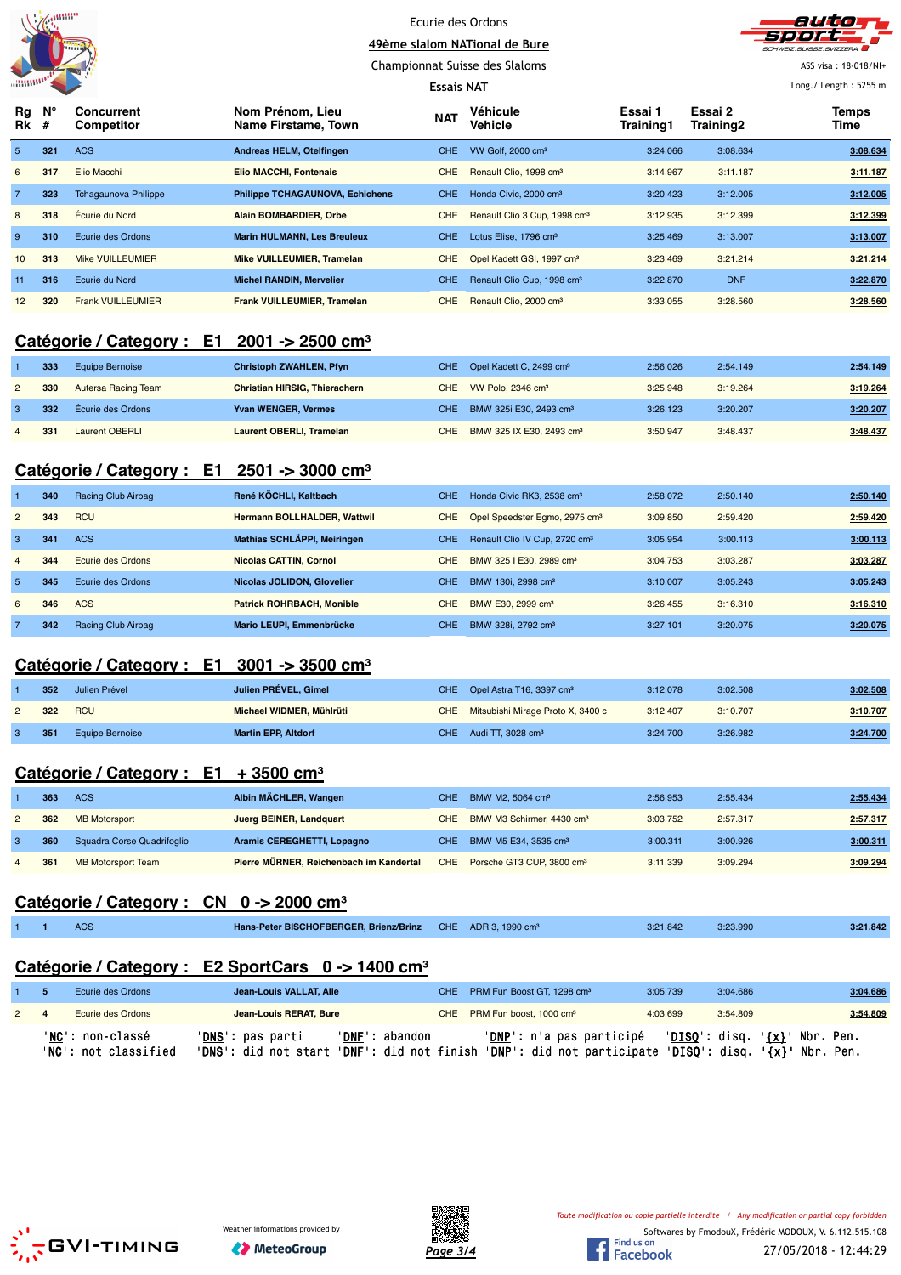|                 | anuun |
|-----------------|-------|
|                 |       |
| <b>SHIMMOOD</b> |       |



Championnat Suisse des Slaloms

#### **Essais NAT**

ASS visa : 18-018/NI+ Long./ Length : 5255 m

| $Rg$ $N^{\circ}$<br><b>Rk</b> # |     | Concurrent<br>Competitor    | Nom Prénom, Lieu<br>Name Firstame, Town | <b>NAT</b> | <b>Véhicule</b><br><b>Vehicle</b>        | Essai 1<br>Training1 | Essai 2<br>Training2 | <b>Temps</b><br>Time |
|---------------------------------|-----|-----------------------------|-----------------------------------------|------------|------------------------------------------|----------------------|----------------------|----------------------|
| 5 <sup>1</sup>                  | 321 | <b>ACS</b>                  | Andreas HELM, Otelfingen                | CHE.       | VW Golf, 2000 cm <sup>3</sup>            | 3:24.066             | 3:08.634             | 3:08.634             |
| 6                               | 317 | Elio Macchi                 | <b>Elio MACCHI, Fontenais</b>           | <b>CHE</b> | Renault Clio, 1998 cm <sup>3</sup>       | 3:14.967             | 3:11.187             | 3:11.187             |
|                                 | 323 | <b>Tchagaunova Philippe</b> | <b>Philippe TCHAGAUNOVA, Echichens</b>  | CHE.       | Honda Civic, 2000 cm <sup>3</sup>        | 3:20.423             | 3:12.005             | 3:12.005             |
| 8                               | 318 | Écurie du Nord              | <b>Alain BOMBARDIER, Orbe</b>           | <b>CHE</b> | Renault Clio 3 Cup, 1998 cm <sup>3</sup> | 3:12.935             | 3:12.399             | 3:12.399             |
| 9                               | 310 | Ecurie des Ordons           | <b>Marin HULMANN, Les Breuleux</b>      | CHE.       | Lotus Elise, 1796 cm <sup>3</sup>        | 3:25.469             | 3:13.007             | 3:13.007             |
| 10 <sup>1</sup>                 | 313 | <b>Mike VUILLEUMIER</b>     | <b>Mike VUILLEUMIER, Tramelan</b>       | <b>CHE</b> | Opel Kadett GSI, 1997 cm <sup>3</sup>    | 3:23.469             | 3:21.214             | 3:21.214             |
| 11                              | 316 | Ecurie du Nord              | <b>Michel RANDIN, Mervelier</b>         | <b>CHE</b> | Renault Clio Cup, 1998 cm <sup>3</sup>   | 3:22.870             | <b>DNF</b>           | 3:22.870             |
| 12 <sup>2</sup>                 | 320 | <b>Frank VUILLEUMIER</b>    | <b>Frank VUILLEUMIER, Tramelan</b>      | <b>CHE</b> | Renault Clio, 2000 cm <sup>3</sup>       | 3:33.055             | 3:28.560             | 3:28.560             |

## **Catégorie / Category : E1 2001 -> 2500 cm³**

| 333 | Equipe Bernoise     | <b>Christoph ZWAHLEN, Pfyn</b>       |     | CHE Opel Kadett C, 2499 cm <sup>3</sup> | 2:56.026 | 2:54.149 | 2:54.149 |
|-----|---------------------|--------------------------------------|-----|-----------------------------------------|----------|----------|----------|
| 330 | Autersa Racing Team | <b>Christian HIRSIG. Thierachern</b> |     | CHE VW Polo, 2346 cm <sup>3</sup>       | 3:25.948 | 3:19.264 | 3:19.264 |
| 332 | Ecurie des Ordons   | <b>Yvan WENGER, Vermes</b>           |     | CHE BMW 325i E30, 2493 cm <sup>3</sup>  | 3:26.123 | 3:20.207 | 3:20.207 |
| 331 | Laurent OBERLI      | <b>Laurent OBERLI, Tramelan</b>      | CHE | BMW 325 IX E30, 2493 cm <sup>3</sup>    | 3:50.947 | 3:48.437 | 3:48.437 |

#### **Catégorie / Category : E1 2501 -> 3000 cm³**

|                | 340 | Racing Club Airbag | René KÖCHLI, Kaltbach              | CHE        | Honda Civic RK3, 2538 cm <sup>3</sup>     | 2:58.072 | 2:50.140 | 2:50.140 |
|----------------|-----|--------------------|------------------------------------|------------|-------------------------------------------|----------|----------|----------|
| $\overline{2}$ | 343 | <b>RCU</b>         | <b>Hermann BOLLHALDER, Wattwil</b> | CHE.       | Opel Speedster Eqmo, 2975 cm <sup>3</sup> | 3:09.850 | 2:59.420 | 2:59.420 |
| 3              | 341 | <b>ACS</b>         | Mathias SCHLÄPPI, Meiringen        | <b>CHE</b> | Renault Clio IV Cup, 2720 cm <sup>3</sup> | 3:05.954 | 3:00.113 | 3:00.113 |
| 4              | 344 | Ecurie des Ordons  | <b>Nicolas CATTIN, Cornol</b>      | CHE.       | BMW 325   E30, 2989 cm <sup>3</sup>       | 3:04.753 | 3:03.287 | 3:03.287 |
| 5              | 345 | Ecurie des Ordons  | Nicolas JOLIDON, Glovelier         | <b>CHE</b> | BMW 130i, 2998 cm <sup>3</sup>            | 3:10.007 | 3:05.243 | 3:05.243 |
| 6              | 346 | <b>ACS</b>         | <b>Patrick ROHRBACH, Monible</b>   | CHE.       | BMW E30, 2999 cm <sup>3</sup>             | 3:26.455 | 3:16.310 | 3:16.310 |
|                | 342 | Racing Club Airbag | Mario LEUPI, Emmenbrücke           | <b>CHE</b> | BMW 328i, 2792 cm <sup>3</sup>            | 3:27.101 | 3:20.075 | 3:20.075 |

#### **Catégorie / Category : E1 3001 -> 3500 cm³**

|    | 352  | Julien Prével          | Julien PRÉVEL, Gimel       | CHE Opel Astra T16, 3397 cm <sup>3</sup> | 3:12.078 | 3:02.508 | 3:02.508 |
|----|------|------------------------|----------------------------|------------------------------------------|----------|----------|----------|
|    | 322  | <b>RCU</b>             | Michael WIDMER, Mühlrüti   | CHE Mitsubishi Mirage Proto X, 3400 c    | 3:12.407 | 3:10.707 | 3:10.707 |
| -3 | -351 | <b>Equipe Bernoise</b> | <b>Martin EPP, Altdorf</b> | CHE Audi TT, $3028 \text{ cm}^3$         | 3:24.700 | 3:26.982 | 3:24.700 |

#### **Catégorie / Category : E1 + 3500 cm³**

|                | 363 | <b>ACS</b>                 | Albin MÄCHLER, Wangen                   | CHE - | BMW M2, 5064 cm <sup>3</sup>              | 2:56.953 | 2:55.434 | 2:55.434 |
|----------------|-----|----------------------------|-----------------------------------------|-------|-------------------------------------------|----------|----------|----------|
| $\mathbf{2}$   | 362 | <b>MB Motorsport</b>       | Juerg BEINER, Landquart                 |       | CHE BMW M3 Schirmer, 4430 cm <sup>3</sup> | 3:03.752 | 2:57.317 | 2:57.317 |
|                | 360 | Squadra Corse Quadrifoglio | Aramis CEREGHETTI, Lopagno              | CHE : | BMW M5 E34, 3535 cm <sup>3</sup>          | 3:00.311 | 3:00.926 | 3:00.311 |
| $\overline{4}$ | 361 | <b>MB Motorsport Team</b>  | Pierre MÜRNER, Reichenbach im Kandertal |       | CHE Porsche GT3 CUP, 3800 cm <sup>3</sup> | 3:11.339 | 3:09.294 | 3:09.294 |

## **Catégorie / Category : CN 0 -> 2000 cm³**

|  | $\sim$<br>AUO | Hans-Peter BISCHOFBERGER, Brienz/Brinz CHE ADR 3, 1990 cm <sup>3</sup> |  | 3:21.842 | 3:23.990 | 3:21.842 |
|--|---------------|------------------------------------------------------------------------|--|----------|----------|----------|
|  |               |                                                                        |  |          |          |          |

## **Catégorie / Category : E2 SportCars 0 -> 1400 cm³**

|             | Ecurie des Ordons                        | Jean-Louis VALLAT, Alle                                    |                                                  | CHE PRM Fun Boost GT. 1298 cm <sup>3</sup>                                     | 3:05.739 | 3:04.686              | 3:04.686                                                                    |
|-------------|------------------------------------------|------------------------------------------------------------|--------------------------------------------------|--------------------------------------------------------------------------------|----------|-----------------------|-----------------------------------------------------------------------------|
| $2 \quad 4$ | Ecurie des Ordons                        | Jean-Louis RERAT, Bure                                     |                                                  | CHE PRM Fun boost, 1000 cm <sup>3</sup>                                        | 4:03.699 | 3:54.809              | 3:54.809                                                                    |
|             | 'NC': non-classé<br>'NC': not classified | ' <b>DNS</b> ': pas parti<br>' <b>DNS</b> ': did not start | 'DNF': abandon<br>' <b>DNF</b> ': did not finish | ' <mark>DNP</mark> ': n'a pas participé<br>' <b>DNP</b> ': did not participate |          | ' <b>DISQ':</b> disq. | ' <u>DISQ</u> ': disq. ' <u>{x}</u> ' Nbr. Pen.<br>' <u>{x}</u> ' Nbr. Pen. |







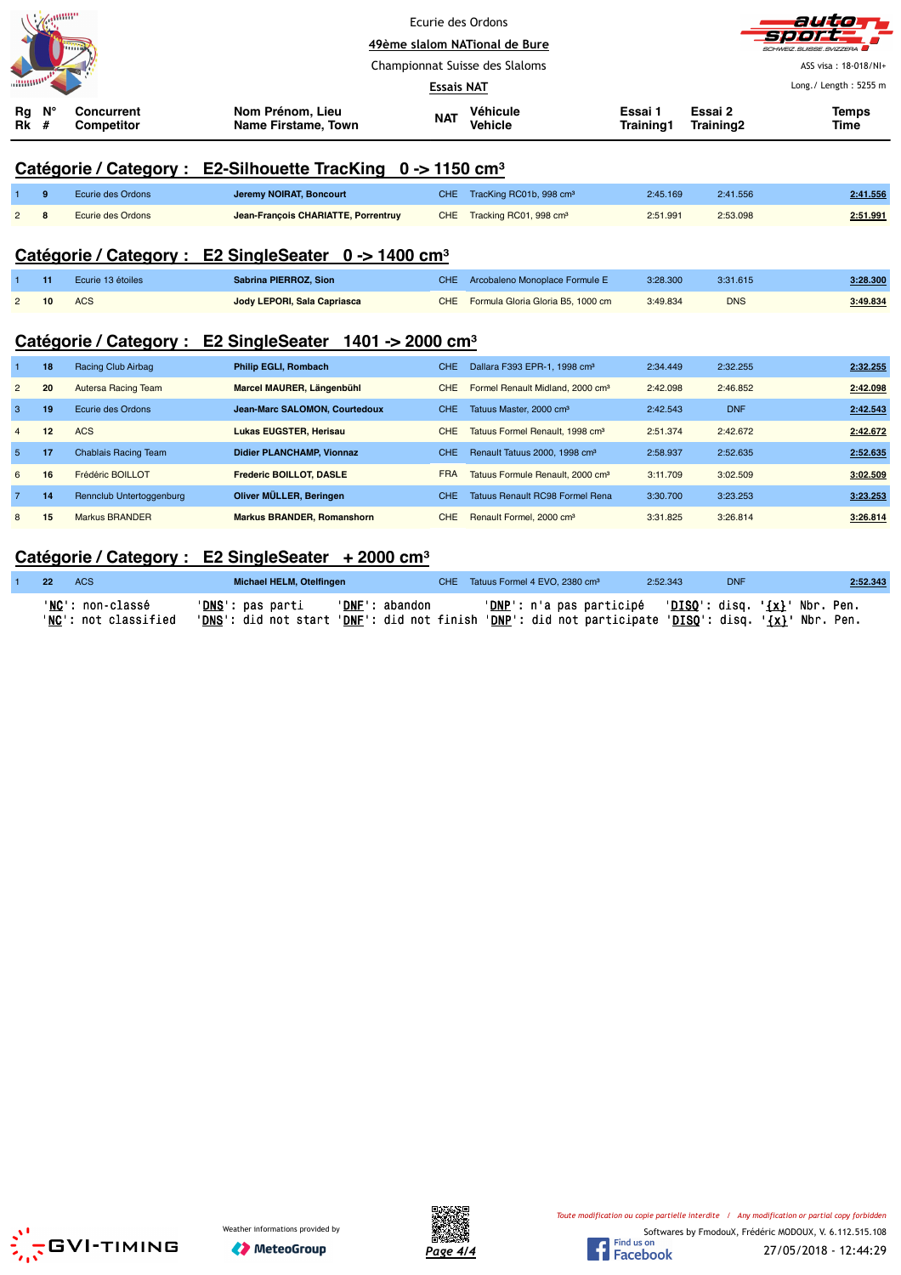|                | anno    |                                 |                                                                        | <b>Essais NAT</b> | Ecurie des Ordons<br>49ème slalom NATional de Bure<br>Championnat Suisse des Slaloms |                      |                      | auta<br><b>CHWEIZ, SUISSE, SVIZZERA</b><br>ASS visa: 18-018/NI+<br>Long./ Length: 5255 m |
|----------------|---------|---------------------------------|------------------------------------------------------------------------|-------------------|--------------------------------------------------------------------------------------|----------------------|----------------------|------------------------------------------------------------------------------------------|
| Rg<br>Rk       | N°<br># | <b>Concurrent</b><br>Competitor | Nom Prénom. Lieu<br>Name Firstame, Town                                | <b>NAT</b>        | Véhicule<br>Vehicle                                                                  | Essai 1<br>Training1 | Essai 2<br>Training2 | <b>Temps</b><br>Time                                                                     |
|                |         | Catégorie / Category :          | E2-Silhouette TracKing $0 \rightarrow 1150 \text{ cm}^3$               |                   |                                                                                      |                      |                      |                                                                                          |
|                | 9       | Ecurie des Ordons               | Jeremy NOIRAT, Boncourt                                                | <b>CHE</b>        | TracKing RC01b, 998 cm <sup>3</sup>                                                  | 2:45.169             | 2:41.556             | 2:41.556                                                                                 |
| $\overline{c}$ | 8       | <b>Ecurie des Ordons</b>        | Jean-François CHARIATTE, Porrentruy                                    | <b>CHE</b>        | Tracking RC01, 998 cm <sup>3</sup>                                                   | 2:51.991             | 2:53.098             | 2:51.991                                                                                 |
|                |         |                                 | Catégorie / Category : E2 SingleSeater 0 -> 1400 cm <sup>3</sup>       |                   |                                                                                      |                      |                      |                                                                                          |
|                | 11      | Ecurie 13 étoiles               | Sabrina PIERROZ, Sion                                                  | <b>CHE</b>        | Arcobaleno Monoplace Formule E                                                       | 3:28.300             | 3:31.615             | 3:28.300                                                                                 |
| $\overline{2}$ | 10      | <b>ACS</b>                      | Jody LEPORI, Sala Capriasca                                            | <b>CHE</b>        | Formula Gloria Gloria B5, 1000 cm                                                    | 3:49.834             | <b>DNS</b>           | 3:49.834                                                                                 |
|                |         |                                 | Catégorie / Category : E2 SingleSeater<br>1401 -> 2000 cm <sup>3</sup> |                   |                                                                                      |                      |                      |                                                                                          |
|                | 18      | Racing Club Airbag              | <b>Philip EGLI, Rombach</b>                                            | CHE.              | Dallara F393 EPR-1, 1998 cm <sup>3</sup>                                             | 2:34.449             | 2:32.255             | 2:32.255                                                                                 |
| $\overline{2}$ | 20      | Autersa Racing Team             | Marcel MAURER, Längenbühl                                              | <b>CHE</b>        | Formel Renault Midland, 2000 cm <sup>3</sup>                                         | 2:42.098             | 2:46.852             | 2:42.098                                                                                 |
| 3              | 19      | Ecurie des Ordons               | Jean-Marc SALOMON, Courtedoux                                          | <b>CHE</b>        | Tatuus Master, 2000 cm <sup>3</sup>                                                  | 2:42.543             | <b>DNF</b>           | 2:42.543                                                                                 |
| $\overline{4}$ | 12      | <b>ACS</b>                      | <b>Lukas EUGSTER, Herisau</b>                                          | <b>CHE</b>        | Tatuus Formel Renault, 1998 cm <sup>3</sup>                                          | 2:51.374             | 2:42.672             | 2:42.672                                                                                 |
| 5              | 17      | <b>Chablais Racing Team</b>     | <b>Didier PLANCHAMP, Vionnaz</b>                                       | <b>CHE</b>        | Renault Tatuus 2000, 1998 cm <sup>3</sup>                                            | 2:58.937             | 2:52.635             | 2:52.635                                                                                 |
| 6              | 16      | Frédéric BOILLOT                | Frederic BOILLOT, DASLE                                                | <b>FRA</b>        | Tatuus Formule Renault, 2000 cm <sup>3</sup>                                         | 3:11.709             | 3:02.509             | 3:02.509                                                                                 |

## **Catégorie / Category : E2 SingleSeater + 2000 cm³**

| $\sqrt{1}$ 22 | <b>ACS</b>               | Michael HELM, Otelfingen                                                                                                                         |                         | CHE Tatuus Formel 4 EVO, 2380 cm <sup>3</sup>                                       | 2:52.343 | <b>DNF</b> | 2:52.343 |
|---------------|--------------------------|--------------------------------------------------------------------------------------------------------------------------------------------------|-------------------------|-------------------------------------------------------------------------------------|----------|------------|----------|
|               | ' <b>NC':</b> non-classé | 'DNS': pas parti                                                                                                                                 | ' <u>DNF</u> ': abandon | ' <u>DNP</u> ': n'a pas participé   ' <u>DISQ</u> ': disq. ' <u>{x}</u> ' Nbr. Pen. |          |            |          |
|               | 'NC': not classified     | ' <u>DNS</u> ': did not start ' <u>DNF</u> ': did not finish ' <u>DNP</u> ': did not participate ' <u>DISQ</u> ': disq. ' <u>{x}</u> ' Nbr. Pen. |                         |                                                                                     |          |            |          |

7 **14** Rennclub Untertoggenburg **Oliver MÜLLER, Beringen** CHE Tatuus Renault RC98 Formel Rena 3:30.700 3:23.253 **3:23.253** 8 **15** Markus BRANDER **Markus BRANDER, Romanshorn** CHE Renault Formel, 2000 cm³ 3:31.825 3:26.814 **3:26.814**